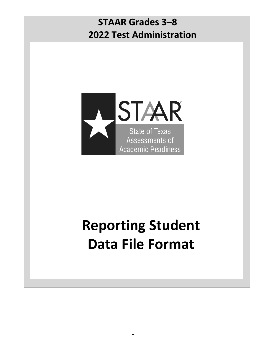# **STAAR Grades 3–8 2022 Test Administration**



# **Reporting Student Data File Format**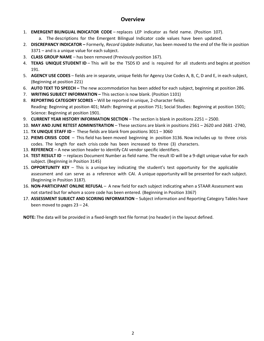### **Overview**

- 1. **EMERGENT BILINGUAL INDICATOR CODE** replaces LEP indicator as field name. (Position 107).
	- a. The descriptions for the Emergent Bilingual Indicator code values have been updated.
- 2. **DISCREPANCY INDICATOR** Formerly, *Record Update Indicator*, has been moved to the end of the file in position 3371 – and is a unique value for each subject.
- 3. **CLASS GROUP NAME**  has been removed (Previously position 167).
- 4. **TEXAS UNIQUE STUDENT ID** This will be the TSDS ID and is required for all students and begins at position 191.
- 5. **AGENCY USE CODES** fields are in separate, unique fields for Agency Use Codes A, B, C, D and E, in each subject, (Beginning at position 221)
- 6. **AUTO TEXT TO SPEECH** The new accommodation has been added for each subject, beginning at position 286.
- 7. **WRITING SUBJECT INFORMATION** This section is now blank. (Position 1101)
- 8. **REPORTING CATEGORY SCORES**  Will be reported in unique, 2-character fields. Reading: Beginning at position 401; Math: Beginning at position 751; Social Studies: Beginning at position 1501; Science: Beginning at position 1901.
- 9. **CURRENT YEAR HISTORY INFORMATION SECTION** The section is blank in positions 2251 2500.
- 10. **MAY AND JUNE RETEST ADMINISTRATION** These sections are blank in positions 2561 2620 and 2681 -2740,
- 11. **TX UNIQUE STAFF ID** These fields are blank from positions 3011 3060
- 12. **PIEMS CRISIS CODE** This field has been moved beginning in position 3136. Now includes up to three crisis codes. The length for each crisis code has been increased to three (3) characters.
- 13. **REFERENCE**  A new section header to identify CAI vendor specific identifiers.
- 14. **TEST RESULT ID**  replaces Document Number as field name. The result ID will be a 9-digit unique value for each subject. (Beginning in Position 3145)
- 15. **OPPORTUNITY KEY** This is a unique key indicating the student's test opportunity for the applicable assessment and can serve as a reference with CAI. A unique opportunity will be presented for each subject. (Beginning in Position 3187).
- 16. **NON-PARTICIPANT ONLINE REFUSAL** A new field for each subject indicating when a STAAR Assessment was not started but for whom a score code has been entered. (Beginning in Position 3367)
- 17. **ASSESSMENT SUBJECT AND SCORING INFORMATION**  Subject information and Reporting Category Tables have been moved to pages 23 – 24.

**NOTE:** The data will be provided in a fixed-length text file format (no header) in the layout defined.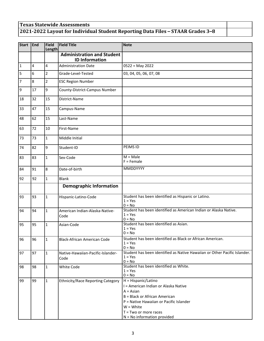## **Texas Statewide Assessments 2021-2022 Layout for Individual Student Reporting Data Files – STAAR Grades 3–8**

| <b>Start</b>   | End            | <b>Field</b><br><b>Length</b> | <b>Field Title</b>                                         | <b>Note</b>                                                                                                                                                                                                                       |
|----------------|----------------|-------------------------------|------------------------------------------------------------|-----------------------------------------------------------------------------------------------------------------------------------------------------------------------------------------------------------------------------------|
|                |                |                               | <b>Administration and Student</b><br><b>ID Information</b> |                                                                                                                                                                                                                                   |
| $\mathbf{1}$   | $\overline{4}$ | 4                             | <b>Administration Date</b>                                 | $0522 = May 2022$                                                                                                                                                                                                                 |
| 5              | 6              | $\overline{2}$                | Grade-Level-Tested                                         | 03, 04, 05, 06, 07, 08                                                                                                                                                                                                            |
| $\overline{7}$ | 8              | $\overline{2}$                | <b>ESC Region Number</b>                                   |                                                                                                                                                                                                                                   |
| $\overline{9}$ | 17             | 9                             | County-District-Campus Number                              |                                                                                                                                                                                                                                   |
| 18             | 32             | 15                            | District-Name                                              |                                                                                                                                                                                                                                   |
| 33             | 47             | 15                            | Campus-Name                                                |                                                                                                                                                                                                                                   |
| 48             | 62             | 15                            | Last-Name                                                  |                                                                                                                                                                                                                                   |
| 63             | 72             | 10                            | First-Name                                                 |                                                                                                                                                                                                                                   |
| 73             | 73             | $\mathbf{1}$                  | Middle Initial                                             |                                                                                                                                                                                                                                   |
| 74             | 82             | 9                             | Student-ID                                                 | PEIMS ID                                                                                                                                                                                                                          |
| 83             | 83             | $\mathbf{1}$                  | Sex-Code                                                   | $M = Male$<br>$F =$ Female                                                                                                                                                                                                        |
| 84             | 91             | 8                             | Date-of-birth                                              | MMDDYYYY                                                                                                                                                                                                                          |
| 92             | 92             | $\mathbf{1}$                  | <b>Blank</b>                                               |                                                                                                                                                                                                                                   |
|                |                |                               | <b>Demographic Information</b>                             |                                                                                                                                                                                                                                   |
| 93             | 93             | $\mathbf{1}$                  | Hispanic-Latino-Code                                       | Student has been identified as Hispanic or Latino.<br>$1 = Yes$<br>$0 = No$                                                                                                                                                       |
| 94             | 94             | $\mathbf{1}$                  | American Indian-Alaska-Native-<br>Code                     | Student has been identified as American Indian or Alaska Native.<br>$1 = Yes$<br>$0 = No$                                                                                                                                         |
| 95             | 95             | $\mathbf{1}$                  | Asian-Code                                                 | Student has been identified as Asian.<br>$1 = Yes$<br>$0 = No$                                                                                                                                                                    |
| 96             | 96             | 1                             | <b>Black-African American Code</b>                         | Student has been identified as Black or African American.<br>$1 = Yes$<br>$0 = No$                                                                                                                                                |
| 97             | 97             | $\mathbf{1}$                  | Native-Hawaiian-Pacific-Islander-<br>Code                  | Student has been identified as Native Hawaiian or Other Pacific Islander.<br>$1 = Yes$<br>$0 = No$                                                                                                                                |
| 98             | 98             | $\mathbf{1}$                  | White Code                                                 | Student has been identified as White.<br>$1 = Yes$<br>$0 = No$                                                                                                                                                                    |
| 99             | 99             | $\mathbf{1}$                  | <b>Ethnicity/Race Reporting Category</b>                   | H = Hispanic/Latino<br>I = American Indian or Alaska Native<br>$A = Asian$<br>B = Black or African American<br>P = Native Hawaiian or Pacific Islander<br>$W = White$<br>$T = Two$ or more races<br>$N = No$ information provided |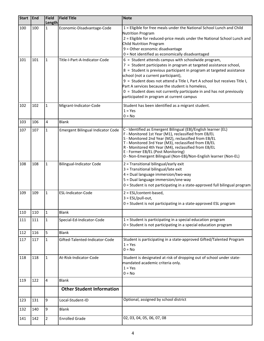| <b>Start</b> | End | Field<br><b>Length</b> | <b>Field Title</b>                | <b>Note</b>                                                                                                                                                                                                                                                                                                                                                                                                                                                                                          |
|--------------|-----|------------------------|-----------------------------------|------------------------------------------------------------------------------------------------------------------------------------------------------------------------------------------------------------------------------------------------------------------------------------------------------------------------------------------------------------------------------------------------------------------------------------------------------------------------------------------------------|
| 100          | 100 | $\mathbf{1}$           | Economic-Disadvantage-Code        | 1 = Eligible for free meals under the National School Lunch and Child<br><b>Nutrition Program</b><br>2 = Eligible for reduced-price meals under the National School Lunch and<br>Child Nutrition Program<br>9 = Other economic disadvantage<br>0 = Not identified as economically disadvantaged                                                                                                                                                                                                      |
| 101          | 101 | $\mathbf{1}$           | Title-I-Part-A-Indicator-Code     | $6 =$ Student attends campus with schoolwide program,<br>7 = Student participates in program at targeted assistance school,<br>8 = Student is previous participant in program at targeted assistance<br>school (not a current participant),<br>9 = Student does not attend a Title I, Part A school but receives Title I,<br>Part A services because the student is homeless,<br>$0 =$ Student does not currently participate in and has not previously<br>participated in program at current campus |
| 102          | 102 | $\mathbf{1}$           | Migrant-Indicator-Code            | Student has been identified as a migrant student.<br>$1 = Yes$<br>$0 = No$                                                                                                                                                                                                                                                                                                                                                                                                                           |
| 103          | 106 | 4                      | <b>Blank</b>                      |                                                                                                                                                                                                                                                                                                                                                                                                                                                                                                      |
| 107          | 107 | $\mathbf{1}$           | Emergent Bilingual Indicator Code | C - Identified as Emergent Bilingual (EB)/English learner (EL)<br>F - Monitored 1st Year (M1), reclassified from EB/EL<br>S - Monitored 2nd Year (M2), reclassified from EB/EL<br>T - Monitored 3rd Year (M3), reclassified from EB/EL<br>R - Monitored 4th Year (M4), reclassified from EB/EL<br>E - Former EB/EL (Post Monitoring)<br>0 - Non-Emergent Bilingual (Non-EB)/Non-English learner (Non-EL)                                                                                             |
| 108          | 108 | $\mathbf{1}$           | <b>Bilingual-Indicator Code</b>   | 2 = Transitional bilingual/early exit<br>3 = Transitional bilingual/late exit<br>4 = Dual language immersion/two-way<br>5 = Dual language immersion/one-way<br>0 = Student is not participating in a state-approved full bilingual program                                                                                                                                                                                                                                                           |
| 109          | 109 | $\mathbf{1}$           | ESL-Indicator-Code                | $2 = ESL/content-based,$<br>$3 = ESL/pull-out,$<br>0 = Student is not participating in a state-approved ESL program                                                                                                                                                                                                                                                                                                                                                                                  |
| 110          | 110 | $\mathbf 1$            | Blank                             |                                                                                                                                                                                                                                                                                                                                                                                                                                                                                                      |
| 111          | 111 | 1                      | Special-Ed-Indicator-Code         | 1 = Student is participating in a special education program<br>$0 =$ Student is not participating in a special education program                                                                                                                                                                                                                                                                                                                                                                     |
| 112          | 116 | 5                      | Blank                             |                                                                                                                                                                                                                                                                                                                                                                                                                                                                                                      |
| 117          | 117 | $\mathbf{1}$           | Gifted-Talented-Indicator-Code    | Student is participating in a state-approved Gifted/Talented Program<br>$1 = Yes$<br>$0 = No$                                                                                                                                                                                                                                                                                                                                                                                                        |
| 118          | 118 | $\mathbf{1}$           | At-Risk-Indicator-Code            | Student is designated at risk of dropping out of school under state-<br>mandated academic criteria only.<br>$1 = Yes$<br>$0 = No$                                                                                                                                                                                                                                                                                                                                                                    |
| 119          | 122 | 4                      | <b>Blank</b>                      |                                                                                                                                                                                                                                                                                                                                                                                                                                                                                                      |
|              |     |                        | <b>Other Student Information</b>  |                                                                                                                                                                                                                                                                                                                                                                                                                                                                                                      |
| 123          | 131 | 9                      | Local-Student-ID                  | Optional, assigned by school district                                                                                                                                                                                                                                                                                                                                                                                                                                                                |
| 132          | 140 | 9                      | <b>Blank</b>                      |                                                                                                                                                                                                                                                                                                                                                                                                                                                                                                      |
| 141          | 142 | $\overline{2}$         | <b>Enrolled Grade</b>             | 02, 03, 04, 05, 06, 07, 08                                                                                                                                                                                                                                                                                                                                                                                                                                                                           |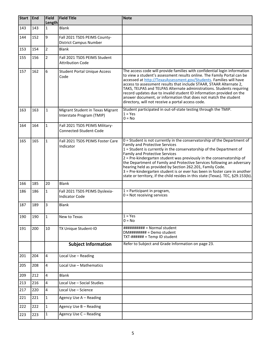| <b>Start</b> | End | <b>Field</b><br><b>Length</b> | <b>Field Title</b>                                            | <b>Note</b>                                                                                                                                                                                                                                                                                                                                                                                                                                                                                                                                                                                                             |
|--------------|-----|-------------------------------|---------------------------------------------------------------|-------------------------------------------------------------------------------------------------------------------------------------------------------------------------------------------------------------------------------------------------------------------------------------------------------------------------------------------------------------------------------------------------------------------------------------------------------------------------------------------------------------------------------------------------------------------------------------------------------------------------|
| 143          | 143 | $\mathbf{1}$                  | <b>Blank</b>                                                  |                                                                                                                                                                                                                                                                                                                                                                                                                                                                                                                                                                                                                         |
| 144          | 152 | 9                             | Fall 2021 TSDS PEIMS County-<br><b>District Campus Number</b> |                                                                                                                                                                                                                                                                                                                                                                                                                                                                                                                                                                                                                         |
| 153          | 154 | $\overline{2}$                | <b>Blank</b>                                                  |                                                                                                                                                                                                                                                                                                                                                                                                                                                                                                                                                                                                                         |
| 155          | 156 | $\overline{2}$                | Fall 2021 TSDS PEIMS Student<br><b>Attribution Code</b>       |                                                                                                                                                                                                                                                                                                                                                                                                                                                                                                                                                                                                                         |
| 157          | 162 | 6                             | <b>Student Portal Unique Access</b><br>Code                   | The access code will provide families with confidential login information<br>to view a student's assessment results online. The Family Portal can be<br>accessed at http://TexasAssessment.gov/Students. Families will have<br>access to assessment results that include STAAR, STAAR Alternate 2,<br>TAKS, TELPAS and TELPAS Alternate administrations. Students requiring<br>record updates due to invalid student ID information provided on the<br>answer document, or information that does not match the student<br>directory, will not receive a portal access code.                                             |
| 163          | 163 | $\mathbf{1}$                  | Migrant Student in Texas Migrant<br>Interstate Program (TMIP) | Student participated in out-of-state testing through the TMIP.<br>$1 = Yes$<br>$0 = No$                                                                                                                                                                                                                                                                                                                                                                                                                                                                                                                                 |
| 164          | 164 | $\mathbf{1}$                  | Fall 2021 TSDS PEIMS Military-<br>Connected-Student-Code      |                                                                                                                                                                                                                                                                                                                                                                                                                                                                                                                                                                                                                         |
| 165          | 165 | $\mathbf{1}$                  | Fall 2021 TSDS PEIMS Foster Care<br>Indicator                 | 0 = Student is not currently in the conservatorship of the Department of<br><b>Family and Protective Services</b><br>$1 =$ Student is currently in the conservatorship of the Department of<br><b>Family and Protective Services</b><br>2 = Pre-kindergarten student was previously in the conservatorship of<br>the Department of Family and Protective Services following an adversary<br>hearing held as provided by Section 262.201, Family Code.<br>3 = Pre-kindergarten student is or ever has been in foster care in another<br>state or territory, if the child resides in this state (Texas). TEC, §29.153(b). |
| 166          | 185 | 20                            | <b>Blank</b>                                                  |                                                                                                                                                                                                                                                                                                                                                                                                                                                                                                                                                                                                                         |
| 186          | 186 | $\mathbf{1}$                  | Fall 2021 TSDS PEIMS Dyslexia-<br><b>Indicator Code</b>       | $1$ = Participant in program,<br>$0 = Not receiving services$                                                                                                                                                                                                                                                                                                                                                                                                                                                                                                                                                           |
| 187          | 189 | 3                             | <b>Blank</b>                                                  |                                                                                                                                                                                                                                                                                                                                                                                                                                                                                                                                                                                                                         |
| 190          | 190 | $\mathbf{1}$                  | New to Texas                                                  | $1 = Yes$<br>$0 = No$                                                                                                                                                                                                                                                                                                                                                                                                                                                                                                                                                                                                   |
| 191          | 200 | 10                            | TX Unique Student-ID                                          | ########## = Normal student<br>$DM\# \# \# \# \# \# \# =$ Demo student<br>$TXT$ -###### = Temp ID student                                                                                                                                                                                                                                                                                                                                                                                                                                                                                                               |
|              |     |                               | <b>Subject Information</b>                                    | Refer to Subject and Grade Information on page 23.                                                                                                                                                                                                                                                                                                                                                                                                                                                                                                                                                                      |
| 201          | 204 | 4                             | Local Use - Reading                                           |                                                                                                                                                                                                                                                                                                                                                                                                                                                                                                                                                                                                                         |
| 205          | 208 | 4                             | Local Use - Mathematics                                       |                                                                                                                                                                                                                                                                                                                                                                                                                                                                                                                                                                                                                         |
| 209          | 212 | 4                             | <b>Blank</b>                                                  |                                                                                                                                                                                                                                                                                                                                                                                                                                                                                                                                                                                                                         |
| 213          | 216 | 4                             | Local Use - Social Studies                                    |                                                                                                                                                                                                                                                                                                                                                                                                                                                                                                                                                                                                                         |
| 217          | 220 | 4                             | Local Use - Science                                           |                                                                                                                                                                                                                                                                                                                                                                                                                                                                                                                                                                                                                         |
| 221          | 221 | 1                             | Agency Use A - Reading                                        |                                                                                                                                                                                                                                                                                                                                                                                                                                                                                                                                                                                                                         |
| 222          | 222 | $\mathbf 1$                   | Agency Use B - Reading                                        |                                                                                                                                                                                                                                                                                                                                                                                                                                                                                                                                                                                                                         |
| 223          | 223 | $\mathbf{1}$                  | Agency Use C - Reading                                        |                                                                                                                                                                                                                                                                                                                                                                                                                                                                                                                                                                                                                         |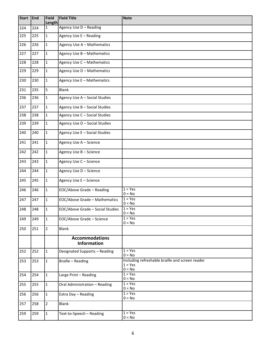| <b>Start</b> | <b>End</b> | <b>Field</b><br><b>Length</b> | <b>Field Title</b>                          | <b>Note</b>                                                              |
|--------------|------------|-------------------------------|---------------------------------------------|--------------------------------------------------------------------------|
| 224          | 224        | $\mathbf{1}$                  | Agency Use D - Reading                      |                                                                          |
| 225          | 225        | $\mathbf 1$                   | Agency Use E - Reading                      |                                                                          |
| 226          | 226        | $\mathbf{1}$                  | Agency Use A - Mathematics                  |                                                                          |
| 227          | 227        | $\mathbf 1$                   | Agency Use B - Mathematics                  |                                                                          |
| 228          | 228        | $\mathbf{1}$                  | Agency Use C - Mathematics                  |                                                                          |
| 229          | 229        | $\mathbf{1}$                  | Agency Use D - Mathematics                  |                                                                          |
| 230          | 230        | $\mathbf{1}$                  | Agency Use E - Mathematics                  |                                                                          |
| 231          | 235        | 5                             | <b>Blank</b>                                |                                                                          |
| 236          | 236        | $\mathbf{1}$                  | Agency Use A - Social Studies               |                                                                          |
| 237          | 237        | $\mathbf{1}$                  | Agency Use B - Social Studies               |                                                                          |
| 238          | 238        | $\mathbf{1}$                  | Agency Use C - Social Studies               |                                                                          |
| 239          | 239        | $\mathbf{1}$                  | Agency Use D - Social Studies               |                                                                          |
| 240          | 240        | $\mathbf{1}$                  | Agency Use E - Social Studies               |                                                                          |
| 241          | 241        | $\mathbf{1}$                  | Agency Use A - Science                      |                                                                          |
| 242          | 242        | $\mathbf{1}$                  | Agency Use B - Science                      |                                                                          |
| 243          | 243        | $\mathbf{1}$                  | Agency Use C - Science                      |                                                                          |
| 244          | 244        | $\mathbf{1}$                  | Agency Use D - Science                      |                                                                          |
| 245          | 245        | $\mathbf{1}$                  | Agency Use E - Science                      |                                                                          |
| 246          | 246        | $\mathbf{1}$                  | EOC/Above Grade - Reading                   | $1 = Yes$<br>$0 = No$                                                    |
| 247          | 247        | $\mathbf{1}$                  | EOC/Above Grade - Mathematics               | $1 = Yes$<br>$0 = No$                                                    |
| 248          | 248        | 1                             | EOC/Above Grade - Social Studies            | $1 = Yes$<br>$0 = No$                                                    |
| 249          | 249        | $\mathbf{1}$                  | EOC/Above Grade - Science                   | $1 = Yes$<br>$0 = No$                                                    |
| 250          | 251        | $\overline{2}$                | <b>Blank</b>                                |                                                                          |
|              |            |                               | <b>Accommodations</b><br><b>Information</b> |                                                                          |
| 252          | 252        | $\mathbf{1}$                  | Designated Supports - Reading               | $1 = Yes$<br>$0 = No$                                                    |
| 253          | 253        | $\mathbf{1}$                  | Braille - Reading                           | Including refreshable braille and screen reader<br>$1 = Yes$<br>$0 = No$ |
| 254          | 254        | $\mathbf{1}$                  | Large Print - Reading                       | $1 = Yes$<br>$0 = No$                                                    |
| 255          | 255        | $\mathbf{1}$                  | Oral Administration - Reading               | $1 = Yes$<br>$0 = No$                                                    |
| 256          | 256        | $\mathbf{1}$                  | Extra Day - Reading                         | $1 = Yes$<br>$0 = No$                                                    |
| 257          | 258        | $\overline{2}$                | <b>Blank</b>                                |                                                                          |
| 259          | 259        | $\mathbf{1}$                  | Text-to-Speech - Reading                    | $1 = Yes$<br>$0 = No$                                                    |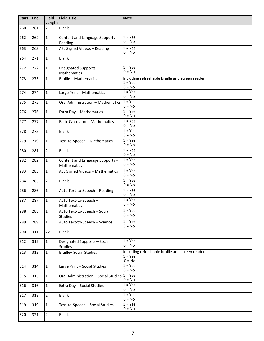| <b>Start</b> | <b>End</b> | <b>Field</b><br><b>Length</b> | <b>Field Title</b>                             | <b>Note</b>                                                              |
|--------------|------------|-------------------------------|------------------------------------------------|--------------------------------------------------------------------------|
| 260          | 261        | $\overline{2}$                | <b>Blank</b>                                   |                                                                          |
| 262          | 262        | $\mathbf{1}$                  | Content and Language Supports -<br>Reading     | $1 = Yes$<br>$0 = No$                                                    |
| 263          | 263        | $\mathbf{1}$                  | ASL Signed Videos - Reading                    | $1 = Yes$<br>$0 = No$                                                    |
| 264          | 271        | $\mathbf{1}$                  | <b>Blank</b>                                   |                                                                          |
| 272          | 272        | $\mathbf{1}$                  | Designated Supports-<br>Mathematics            | $1 = Yes$<br>$0 = No$                                                    |
| 273          | 273        | $\mathbf{1}$                  | <b>Braille - Mathematics</b>                   | Including refreshable braille and screen reader<br>$1 = Yes$<br>$0 = No$ |
| 274          | 274        | $\mathbf{1}$                  | Large Print - Mathematics                      | $1 = Yes$<br>$0 = No$                                                    |
| 275          | 275        | $\mathbf{1}$                  | Oral Administration - Mathematics              | $1 = Yes$<br>$0 = No$                                                    |
| 276          | 276        | $\mathbf{1}$                  | Extra Day - Mathematics                        | $1 = Yes$<br>$0 = No$                                                    |
| 277          | 277        | 1                             | <b>Basic Calculator - Mathematics</b>          | $1 = Yes$<br>$0 = No$                                                    |
| 278          | 278        | $\mathbf{1}$                  | <b>Blank</b>                                   | $1 = Yes$<br>$0 = No$                                                    |
| 279          | 279        | $\mathbf{1}$                  | Text-to-Speech - Mathematics                   | $1 = Yes$<br>$0 = No$                                                    |
| 280          | 281        | $\overline{2}$                | <b>Blank</b>                                   | $1 = Yes$<br>$0 = No$                                                    |
| 282          | 282        | 1                             | Content and Language Supports -<br>Mathematics | $1 = Yes$<br>$0 = No$                                                    |
| 283          | 283        | $\mathbf{1}$                  | ASL Signed Videos - Mathematics                | $1 = Yes$<br>$0 = No$                                                    |
| 284          | 285        | $\overline{2}$                | <b>Blank</b>                                   | $1 = Yes$<br>$0 = No$                                                    |
| 286          | 286        | $\mathbf{1}$                  | Auto Text-to-Speech - Reading                  | $1 = Yes$<br>$0 = No$                                                    |
| 287          | 287        | $\mathbf 1$                   | Auto Text-to-Speech -<br>Mathematics           | $1 = Yes$<br>$0 = No$                                                    |
| 288          | 288        | 1                             | Auto Text-to-Speech - Social<br>Studies        | $1 = Yes$<br>$0 = No$                                                    |
| 289          | 289        | $\mathbf{1}$                  | Auto Text-to-Speech - Science                  | $1 = Yes$<br>$0 = No$                                                    |
| 290          | 311        | 22                            | <b>Blank</b>                                   |                                                                          |
| 312          | 312        | $\mathbf{1}$                  | Designated Supports - Social<br>Studies        | $1 = Yes$<br>$0 = No$                                                    |
| 313          | 313        | $\mathbf{1}$                  | <b>Braille-Social Studies</b>                  | Including refreshable braille and screen reader<br>$1 = Yes$<br>$0 = No$ |
| 314          | 314        | $\mathbf{1}$                  | Large Print - Social Studies                   | $1 = Yes$<br>$0 = No$                                                    |
| 315          | 315        | $\mathbf{1}$                  | Oral Administration - Social Studies           | $1 = \overline{Yes}$<br>$0 = No$                                         |
| 316          | 316        | $\mathbf{1}$                  | Extra Day - Social Studies                     | $1 = Yes$<br>$0 = No$                                                    |
| 317          | 318        | $\overline{2}$                | Blank                                          | $1 = Yes$<br>$0 = No$                                                    |
| 319          | 319        | $\mathbf{1}$                  | Text-to-Speech - Social Studies                | $1 = Yes$<br>$0 = No$                                                    |
| 320          | 321        | $\overline{2}$                | Blank                                          |                                                                          |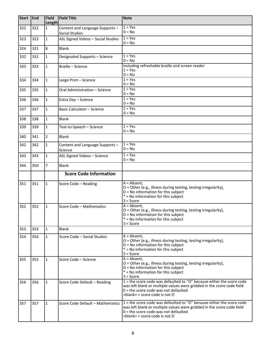| <b>Start</b> | <b>End</b> | <b>Field</b><br><b>Length</b> | <b>Field Title</b>                                       | <b>Note</b>                                                                                                                                                                                                                          |
|--------------|------------|-------------------------------|----------------------------------------------------------|--------------------------------------------------------------------------------------------------------------------------------------------------------------------------------------------------------------------------------------|
| 322          | 322        | 1                             | Content and Language Supports -<br><b>Social Studies</b> | $1 = Yes$<br>$0 = No$                                                                                                                                                                                                                |
| 323          | 323        | $\mathbf{1}$                  | ASL Signed Videos - Social Studies                       | $1 = Yes$<br>$0 = No$                                                                                                                                                                                                                |
| 324          | 331        | 8                             | Blank                                                    |                                                                                                                                                                                                                                      |
| 332          | 332        | $\mathbf{1}$                  | Designated Supports - Science                            | $1 = Yes$<br>$0 = No$                                                                                                                                                                                                                |
| 333          | 333        | $\mathbf{1}$                  | Braille - Science                                        | Including refreshable braille and screen reader<br>$1 = Yes$<br>$0 = No$                                                                                                                                                             |
| 334          | 334        | $\mathbf{1}$                  | Large Print - Science                                    | $1 = Yes$<br>$0 = No$                                                                                                                                                                                                                |
| 335          | 335        | $\mathbf{1}$                  | Oral Administration - Science                            | $1 = Yes$<br>$0 = No$                                                                                                                                                                                                                |
| 336          | 336        | $\mathbf{1}$                  | Extra Day - Science                                      | $1 = Yes$<br>$0 = No$                                                                                                                                                                                                                |
| 337          | 337        | $\mathbf{1}$                  | Basic Calculator - Science                               | $1 = Yes$<br>$0 = No$                                                                                                                                                                                                                |
| 338          | 338        | $\mathbf{1}$                  | Blank                                                    |                                                                                                                                                                                                                                      |
| 339          | 339        | $\mathbf{1}$                  | Text-to-Speech - Science                                 | $1 = Yes$<br>$0 = No$                                                                                                                                                                                                                |
| 340          | 341        | $\overline{2}$                | <b>Blank</b>                                             |                                                                                                                                                                                                                                      |
| 342          | 342        | $\mathbf{1}$                  | Content and Language Supports -<br>Science               | $1 = Yes$<br>$0 = No$                                                                                                                                                                                                                |
| 343          | 343        | $\mathbf{1}$                  | ASL Signed Videos - Science                              | $1 = Yes$<br>$0 = No$                                                                                                                                                                                                                |
| 344          | 350        | $\overline{7}$                | <b>Blank</b>                                             |                                                                                                                                                                                                                                      |
|              |            |                               | <b>Score Code Information</b>                            |                                                                                                                                                                                                                                      |
| 351          | 351        | 1                             | Score Code - Reading                                     | $A = Absent.$<br>O = Other (e.g., illness during testing, testing irregularity),<br>$D = No$ information for this subject<br>* = No information for this subject<br>$S = Score$                                                      |
| 352          | 352        | $\mathbf{1}$                  | Score Code - Mathematics                                 | $A = Absent,$<br>$O =$ Other (e.g., illness during testing, testing irregularity),<br>$D = No$ information for this subject<br>* = No information for this subject<br>$S = Score$                                                    |
| 353          | 353        | $\mathbf{1}$                  | <b>Blank</b>                                             |                                                                                                                                                                                                                                      |
| 354          | 354        | $\mathbf{1}$                  | Score Code - Social Studies                              | $A = Absent.$<br>O = Other (e.g., illness during testing, testing irregularity),<br>$D = No$ information for this subject<br>* = No information for this subject<br>$S = Score$                                                      |
| 355          | 355        | 1                             | Score Code - Science                                     | $A = Absent,$<br>O = Other (e.g., illness during testing, testing irregularity),<br>$D = No$ information for this subject<br>$*$ = No information for this subject<br>$S = Score$                                                    |
| 356          | 356        | 1                             | Score Code Default - Reading                             | $1$ = the score code was defaulted to "O" because either the score code<br>was left blank or multiple values were gridded in the score code field<br>$0$ = the score code was not defaulted<br><blank> = score code is not O</blank> |
| 357          | 357        | $\mathbf{1}$                  | Score Code Default - Mathematics                         | 1 = the score code was defaulted to "O" because either the score code<br>was left blank or multiple values were gridded in the score code field<br>$0 =$ the score code was not defaulted                                            |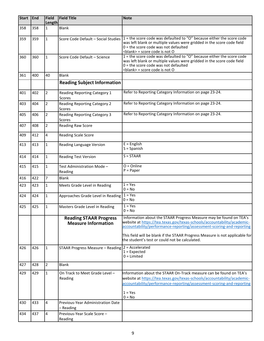| <b>Start</b> | End | <b>Field</b><br>Length | <b>Field Title</b>                                          | <b>Note</b>                                                                                                                                                                                                                        |
|--------------|-----|------------------------|-------------------------------------------------------------|------------------------------------------------------------------------------------------------------------------------------------------------------------------------------------------------------------------------------------|
| 358          | 358 | 1                      | <b>Blank</b>                                                |                                                                                                                                                                                                                                    |
| 359          | 359 | $\mathbf{1}$           | Score Code Default - Social Studies                         | 1 = the score code was defaulted to "O" because either the score code<br>was left blank or multiple values were gridded in the score code field<br>$0$ = the score code was not defaulted<br><blank> = score code is not O</blank> |
| 360          | 360 | 1                      | Score Code Default - Science                                | 1 = the score code was defaulted to "O" because either the score code<br>was left blank or multiple values were gridded in the score code field<br>$0$ = the score code was not defaulted<br><blank> = score code is not O</blank> |
| 361          | 400 | 40                     | <b>Blank</b>                                                |                                                                                                                                                                                                                                    |
|              |     |                        | <b>Reading Subject Information</b>                          |                                                                                                                                                                                                                                    |
| 401          | 402 | $\overline{2}$         | Reading Reporting Category 1<br>Scores                      | Refer to Reporting Category Information on page 23-24.                                                                                                                                                                             |
| 403          | 404 | $\overline{2}$         | Reading Reporting Category 2<br><b>Scores</b>               | Refer to Reporting Category Information on page 23-24.                                                                                                                                                                             |
| 405          | 406 | $\overline{2}$         | <b>Reading Reporting Category 3</b><br>Scores               | Refer to Reporting Category Information on page 23-24.                                                                                                                                                                             |
| 407          | 408 | $\overline{2}$         | <b>Reading Raw Score</b>                                    |                                                                                                                                                                                                                                    |
| 409          | 412 | 4                      | Reading Scale Score                                         |                                                                                                                                                                                                                                    |
| 413          | 413 | 1                      | Reading Language Version                                    | $E =$ English<br>$S =$ Spanish                                                                                                                                                                                                     |
| 414          | 414 | $\mathbf{1}$           | <b>Reading Test Version</b>                                 | $S = STAAR$                                                                                                                                                                                                                        |
| 415          | 415 | $\mathbf{1}$           | Test Administration Mode -<br>Reading                       | $O = Online$<br>$P = Paper$                                                                                                                                                                                                        |
| 416          | 422 | $\overline{7}$         | <b>Blank</b>                                                |                                                                                                                                                                                                                                    |
| 423          | 423 | $\mathbf{1}$           | Meets Grade Level in Reading                                | $1 = Yes$<br>$0 = No$                                                                                                                                                                                                              |
| 424          | 424 | $\mathbf{1}$           | Approaches Grade Level in Reading                           | $1 = Yes$<br>$0 = No$                                                                                                                                                                                                              |
| 425          | 425 | $\mathbf 1$            | Masters Grade Level in Reading                              | $1 = Yes$<br>$0 = No$                                                                                                                                                                                                              |
|              |     |                        | <b>Reading STAAR Progress</b><br><b>Measure Information</b> | Information about the STAAR Progress Measure may be found on TEA's<br>website at https://tea.texas.gov/texas-schools/accountability/academic-<br>accountability/performance-reporting/assessment-scoring-and-reporting             |
|              |     |                        |                                                             | This field will be blank if the STAAR Progress Measure is not applicable for<br>the student's test or could not be calculated.                                                                                                     |
| 426          | 426 | 1                      | STAAR Progress Measure - Reading   2 = Accelerated          | $1 =$ Expected<br>$0 =$ Limited                                                                                                                                                                                                    |
| 427          | 428 | $\overline{2}$         | <b>Blank</b>                                                |                                                                                                                                                                                                                                    |
| 429          | 429 | $\mathbf{1}$           | On Track to Meet Grade Level -<br>Reading                   | linformation about the STAAR On-Track measure can be found on TEA's<br>website at https://tea.texas.gov/texas-schools/accountability/academic-<br>accountability/performance-reporting/assessment-scoring-and-reporting            |
|              |     |                        |                                                             | $1 = Yes$<br>$0 = No$                                                                                                                                                                                                              |
| 430          | 433 | 4                      | Previous-Year Administration Date<br>- Reading              |                                                                                                                                                                                                                                    |
| 434          | 437 | 4                      | Previous-Year Scale Score -<br>Reading                      |                                                                                                                                                                                                                                    |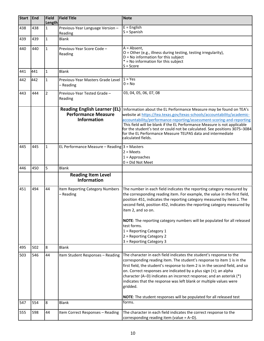| <b>Start</b> | End | <b>Field</b><br><b>Length</b> | <b>Field Title</b>                                                                      | <b>Note</b>                                                                                                                                                                                                                                                                                                                                                                                                                                                                                                   |
|--------------|-----|-------------------------------|-----------------------------------------------------------------------------------------|---------------------------------------------------------------------------------------------------------------------------------------------------------------------------------------------------------------------------------------------------------------------------------------------------------------------------------------------------------------------------------------------------------------------------------------------------------------------------------------------------------------|
| 438          | 438 | $\mathbf{1}$                  | Previous-Year Language Version -<br>Reading                                             | $E =$ English<br>$S =$ Spanish                                                                                                                                                                                                                                                                                                                                                                                                                                                                                |
| 439          | 439 | $\mathbf{1}$                  | <b>Blank</b>                                                                            |                                                                                                                                                                                                                                                                                                                                                                                                                                                                                                               |
| 440          | 440 | $\mathbf{1}$                  | Previous-Year Score Code -<br>Reading                                                   | $A = Absent$ ,<br>O = Other (e.g., illness during testing, testing irregularity),<br>$D = No$ information for this subject<br>* = No information for this subject<br>$S = Score$                                                                                                                                                                                                                                                                                                                              |
| 441          | 441 | $\mathbf{1}$                  | <b>Blank</b>                                                                            |                                                                                                                                                                                                                                                                                                                                                                                                                                                                                                               |
| 442          | 442 | $\mathbf{1}$                  | Previous-Year Masters Grade Level<br>- Reading                                          | $1 = Yes$<br>$0 = No$                                                                                                                                                                                                                                                                                                                                                                                                                                                                                         |
| 443          | 444 | $\overline{2}$                | Previous-Year Tested Grade -<br>Reading                                                 | 03, 04, 05, 06, 07, 08                                                                                                                                                                                                                                                                                                                                                                                                                                                                                        |
|              |     |                               | <b>Reading English Learner (EL)</b><br><b>Performance Measure</b><br><b>Information</b> | Information about the EL Performance Measure may be found on TEA's<br>website at https://tea.texas.gov/texas-schools/accountability/academic-<br>accountability/performance-reporting/assessment-scoring-and-reporting<br>This field will be blank if the EL Performance Measure is not applicable<br>for the student's test or could not be calculated. See positions 3075-3084<br>for the EL Performance Measure TELPAS data and intermediate<br>calculated fields.                                         |
| 445          | 445 | $\mathbf{1}$                  | EL Performance Measure - Reading $3$ = Masters                                          | $2 = Meets$<br>$1 =$ Approaches<br>$0 = Did Not Meet$                                                                                                                                                                                                                                                                                                                                                                                                                                                         |
| 446          | 450 | 5                             | <b>Blank</b>                                                                            |                                                                                                                                                                                                                                                                                                                                                                                                                                                                                                               |
|              |     |                               | <b>Reading Item Level</b><br><b>Information</b>                                         |                                                                                                                                                                                                                                                                                                                                                                                                                                                                                                               |
| 451          | 494 | 44                            | Item Reporting Category Numbers<br>- Reading                                            | The number in each field indicates the reporting category measured by<br>the corresponding reading item. For example, the value in the first field,<br>position 451, indicates the reporting category measured by item 1. The<br>second field, position 452, indicates the reporting category measured by<br>item 2, and so on.<br>NOTE: The reporting category numbers will be populated for all released<br>test forms.<br>1 = Reporting Category 1<br>2 = Reporting Category 2<br>3 = Reporting Category 3 |
| 495          | 502 | 8                             | <b>Blank</b>                                                                            |                                                                                                                                                                                                                                                                                                                                                                                                                                                                                                               |
| 503          | 546 | 44                            | Item Student Responses - Reading                                                        | The character in each field indicates the student's response to the<br>corresponding reading item. The student's response to item 1 is in the<br>first field, the student's response to item 2 is in the second field, and so<br>on. Correct responses are indicated by a plus sign (+); an alpha<br>character (A-D) indicates an incorrect response; and an asterisk (*)<br>indicates that the response was left blank or multiple values were<br>gridded.                                                   |
| 547          | 554 | 8                             | <b>Blank</b>                                                                            | NOTE: The student responses will be populated for all released test<br>forms.                                                                                                                                                                                                                                                                                                                                                                                                                                 |
|              |     |                               |                                                                                         |                                                                                                                                                                                                                                                                                                                                                                                                                                                                                                               |
| 555          | 598 | 44                            | Item Correct Responses - Reading                                                        | The character in each field indicates the correct response to the<br>corresponding reading item (value = A-D).                                                                                                                                                                                                                                                                                                                                                                                                |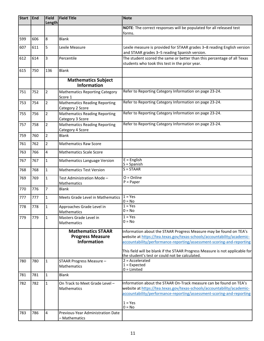| <b>Start</b> | End | <b>Field</b><br><b>Length</b> | <b>Field Title</b>                                                        | <b>Note</b>                                                                                                                                                                                                                                                                                                                                              |
|--------------|-----|-------------------------------|---------------------------------------------------------------------------|----------------------------------------------------------------------------------------------------------------------------------------------------------------------------------------------------------------------------------------------------------------------------------------------------------------------------------------------------------|
|              |     |                               |                                                                           | NOTE: The correct responses will be populated for all released test<br>forms.                                                                                                                                                                                                                                                                            |
| 599          | 606 | 8                             | Blank                                                                     |                                                                                                                                                                                                                                                                                                                                                          |
| 607          | 611 | 5                             | Lexile Measure                                                            | Lexile measure is provided for STAAR grades 3-8 reading English version<br>and STAAR grades 3-5 reading Spanish version.                                                                                                                                                                                                                                 |
| 612          | 614 | 3                             | Percentile                                                                | The student scored the same or better than this percentage of all Texas<br>students who took this test in the prior year.                                                                                                                                                                                                                                |
| 615          | 750 | 136                           | <b>Blank</b>                                                              |                                                                                                                                                                                                                                                                                                                                                          |
|              |     |                               | <b>Mathematics Subject</b><br>Information                                 |                                                                                                                                                                                                                                                                                                                                                          |
| 751          | 752 | $\overline{2}$                | <b>Mathematics Reporting Category</b><br>Score 1                          | Refer to Reporting Category Information on page 23-24.                                                                                                                                                                                                                                                                                                   |
| 753          | 754 | $\overline{2}$                | <b>Mathematics Reading Reporting</b><br>Category 2 Score                  | Refer to Reporting Category Information on page 23-24.                                                                                                                                                                                                                                                                                                   |
| 755          | 756 | $\overline{2}$                | <b>Mathematics Reading Reporting</b><br>Category 3 Score                  | Refer to Reporting Category Information on page 23-24.                                                                                                                                                                                                                                                                                                   |
| 757          | 758 | $\overline{2}$                | <b>Mathematics Reading Reporting</b><br>Category 4 Score                  | Refer to Reporting Category Information on page 23-24.                                                                                                                                                                                                                                                                                                   |
| 759          | 760 | $\overline{2}$                | <b>Blank</b>                                                              |                                                                                                                                                                                                                                                                                                                                                          |
| 761          | 762 | $\overline{2}$                | <b>Mathematics Raw Score</b>                                              |                                                                                                                                                                                                                                                                                                                                                          |
| 763          | 766 | 4                             | <b>Mathematics Scale Score</b>                                            |                                                                                                                                                                                                                                                                                                                                                          |
| 767          | 767 | $\mathbf{1}$                  | <b>Mathematics Language Version</b>                                       | $E =$ English<br>$S =$ Spanish                                                                                                                                                                                                                                                                                                                           |
| 768          | 768 | $\mathbf{1}$                  | <b>Mathematics Test Version</b>                                           | $S = STAAR$                                                                                                                                                                                                                                                                                                                                              |
| 769          | 769 | $\mathbf{1}$                  | Test Administration Mode-<br>Mathematics                                  | $O = Online$<br>$P = Paper$                                                                                                                                                                                                                                                                                                                              |
| 770          | 776 | $\overline{7}$                | <b>Blank</b>                                                              |                                                                                                                                                                                                                                                                                                                                                          |
| 777          | 777 | $\mathbf{1}$                  | Meets Grade Level in Mathematics                                          | $1 = Yes$<br>$0 = No$                                                                                                                                                                                                                                                                                                                                    |
| 778          | 778 | $\mathbf{1}$                  | Approaches Grade Level in<br>Mathematics                                  | $1 = Yes$<br>$0 = No$                                                                                                                                                                                                                                                                                                                                    |
| 779          | 779 | 1                             | Masters Grade Level in<br><b>Mathematics</b>                              | $1 = Yes$<br>$0 = No$                                                                                                                                                                                                                                                                                                                                    |
|              |     |                               | <b>Mathematics STAAR</b><br><b>Progress Measure</b><br><b>Information</b> | Information about the STAAR Progress Measure may be found on TEA's<br>website at https://tea.texas.gov/texas-schools/accountability/academic-<br>accountability/performance-reporting/assessment-scoring-and-reporting<br>This field will be blank if the STAAR Progress Measure is not applicable for<br>the student's test or could not be calculated. |
| 780          | 780 | $\mathbf{1}$                  | STAAR Progress Measure -<br>Mathematics                                   | $2 = Accelerated$<br>$1 =$ Expected<br>$0 =$ Limited                                                                                                                                                                                                                                                                                                     |
| 781          | 781 | $\mathbf{1}$                  | <b>Blank</b>                                                              |                                                                                                                                                                                                                                                                                                                                                          |
| 782          | 782 | $\mathbf{1}$                  | On Track to Meet Grade Level -<br>Mathematics                             | Information about the STAAR On-Track measure can be found on TEA's<br>website at https://tea.texas.gov/texas-schools/accountability/academic-<br>accountability/performance-reporting/assessment-scoring-and-reporting<br>$1 = Yes$                                                                                                                      |
| 783          | 786 | 4                             | Previous-Year Administration Date<br>- Mathematics                        | $0 = No$                                                                                                                                                                                                                                                                                                                                                 |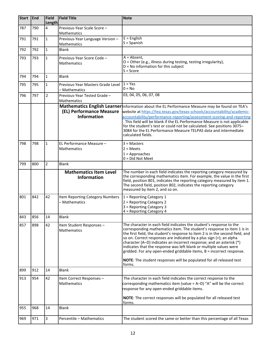| <b>Start</b> | <b>End</b> | <b>Field</b><br><b>Length</b> | <b>Field Title</b>                                  | <b>Note</b>                                                                                                                                                                                                                                                                                                                                                                                                                                                                                                                                                                                                  |
|--------------|------------|-------------------------------|-----------------------------------------------------|--------------------------------------------------------------------------------------------------------------------------------------------------------------------------------------------------------------------------------------------------------------------------------------------------------------------------------------------------------------------------------------------------------------------------------------------------------------------------------------------------------------------------------------------------------------------------------------------------------------|
| 787          | 790        | 4                             | Previous-Year Scale Score -<br>Mathematics          |                                                                                                                                                                                                                                                                                                                                                                                                                                                                                                                                                                                                              |
| 791          | 791        | $\mathbf{1}$                  | Previous-Year Language Version -<br>Mathematics     | $E =$ English<br>$S =$ Spanish                                                                                                                                                                                                                                                                                                                                                                                                                                                                                                                                                                               |
| 792          | 792        | $\mathbf{1}$                  | Blank                                               |                                                                                                                                                                                                                                                                                                                                                                                                                                                                                                                                                                                                              |
| 793          | 793        | $\mathbf{1}$                  | Previous-Year Score Code -<br>Mathematics           | $A = Absent,$<br>O = Other (e.g., illness during testing, testing irregularity),<br>$D = No$ information for this subject<br>$S = Score$                                                                                                                                                                                                                                                                                                                                                                                                                                                                     |
| 794          | 794        | $\mathbf{1}$                  | Blank                                               |                                                                                                                                                                                                                                                                                                                                                                                                                                                                                                                                                                                                              |
| 795          | 795        | $\mathbf{1}$                  | Previous-Year Masters Grade Level<br>– Mathematics  | $1 = Yes$<br>$0 = No$                                                                                                                                                                                                                                                                                                                                                                                                                                                                                                                                                                                        |
| 796          | 797        | $\overline{2}$                | Previous-Year Tested Grade -<br>Mathematics         | 03, 04, 05, 06, 07, 08                                                                                                                                                                                                                                                                                                                                                                                                                                                                                                                                                                                       |
|              |            |                               | (EL) Performance Measure<br><b>Information</b>      | Mathematics English Learner Information about the EL Performance Measure may be found on TEA's<br>website at https://tea.texas.gov/texas-schools/accountability/academic-<br>accountability/performance-reporting/assessment-scoring-and-reporting<br>. This field will be blank if the EL Performance Measure is not applicable<br>for the student's test or could not be calculated. See positions 3075-<br>3084 for the EL Performance Measure TELPAS data and intermediate<br>calculated fields.                                                                                                         |
| 798          | 798        | $\mathbf{1}$                  | EL Performance Measure -<br>Mathematics             | $3 =$ Masters<br>$2 = Meets$<br>$1 =$ Approaches<br>$0 = Did Not Meet$                                                                                                                                                                                                                                                                                                                                                                                                                                                                                                                                       |
| 799          | 800        | 2                             | <b>Blank</b>                                        |                                                                                                                                                                                                                                                                                                                                                                                                                                                                                                                                                                                                              |
|              |            |                               | <b>Mathematics Item Level</b><br><b>Information</b> | The number in each field indicates the reporting category measured by<br>the corresponding mathematics item. For example, the value in the first<br>field, position 801, indicates the reporting category measured by item 1.<br>The second field, position 802, indicates the reporting category<br>measured by item 2, and so on.                                                                                                                                                                                                                                                                          |
| 801          | 842        | 42                            | Item Reporting Category Numbers<br>- Mathematics    | 1 = Reporting Category 1<br>2 = Reporting Category 2<br>3 = Reporting Category 3<br>4 = Reporting Category 4                                                                                                                                                                                                                                                                                                                                                                                                                                                                                                 |
| 843          | 856        | 14                            | Blank                                               |                                                                                                                                                                                                                                                                                                                                                                                                                                                                                                                                                                                                              |
| 857          | 898        | 42                            | Item Student Responses -<br><b>Mathematics</b>      | The character in each field indicates the student's response to the<br>corresponding mathematics item. The student's response to item 1 is in<br>the first field, the student's response to item 2 is in the second field, and<br>so on. Correct responses are indicated by a plus sign (+); an alpha<br>character (A-D) indicates an incorrect response; and an asterisk (*)<br>indicates that the response was left blank or multiple values were<br>gridded. For any open-ended griddable items, B = incorrect response.<br>NOTE: The student responses will be populated for all released test<br>forms. |
| 899          | 912        | 14                            | Blank                                               |                                                                                                                                                                                                                                                                                                                                                                                                                                                                                                                                                                                                              |
| 913          | 954        | 42                            | Item Correct Responses -<br>Mathematics             | The character in each field indicates the correct response to the<br>corresponding mathematics item (value = $A-D$ ) "A" will be the correct<br>response for any open-ended griddable items.<br>NOTE: The correct responses will be populated for all released test<br>forms.                                                                                                                                                                                                                                                                                                                                |
| 955          | 968        | 14                            | <b>Blank</b>                                        |                                                                                                                                                                                                                                                                                                                                                                                                                                                                                                                                                                                                              |
| 969          | 971        | $\overline{3}$                | Percentile - Mathematics                            | The student scored the same or better than this percentage of all Texas                                                                                                                                                                                                                                                                                                                                                                                                                                                                                                                                      |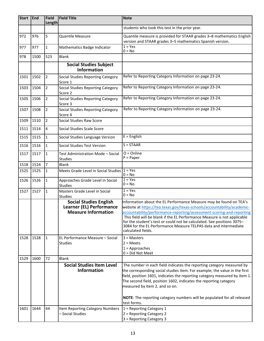| <b>Start</b> | End  | <b>Field</b>   | <b>Field Title</b>                                                                             | <b>Note</b>                                                                                                                                                                                                                                                                                                                                                                                                                                                            |
|--------------|------|----------------|------------------------------------------------------------------------------------------------|------------------------------------------------------------------------------------------------------------------------------------------------------------------------------------------------------------------------------------------------------------------------------------------------------------------------------------------------------------------------------------------------------------------------------------------------------------------------|
|              |      | Length         |                                                                                                | students who took this test in the prior year.                                                                                                                                                                                                                                                                                                                                                                                                                         |
|              |      |                |                                                                                                |                                                                                                                                                                                                                                                                                                                                                                                                                                                                        |
| 972          | 976  | 5              | <b>Quantile Measure</b>                                                                        | Quantile measure is provided for STAAR grades 3-8 mathematics English<br>version and STAAR grades 3-5 mathematics Spanish version.                                                                                                                                                                                                                                                                                                                                     |
| 977          | 977  | $\mathbf{1}$   | Mathematics Badge Indicator                                                                    | $1 = Yes$<br>$0 = No$                                                                                                                                                                                                                                                                                                                                                                                                                                                  |
| 978          | 1500 | 523            | Blank                                                                                          |                                                                                                                                                                                                                                                                                                                                                                                                                                                                        |
|              |      |                | <b>Social Studies Subject</b><br><b>Information</b>                                            |                                                                                                                                                                                                                                                                                                                                                                                                                                                                        |
| 1501         | 1502 | $\overline{2}$ | Social Studies Reporting Category<br>Score 1                                                   | Refer to Reporting Category Information on page 23-24.                                                                                                                                                                                                                                                                                                                                                                                                                 |
| 1503         | 1504 | $\overline{2}$ | Social Studies Reporting Category<br>Score 2                                                   | Refer to Reporting Category Information on page 23-24.                                                                                                                                                                                                                                                                                                                                                                                                                 |
| 1505         | 1506 | $\overline{2}$ | Social Studies Reporting Category<br>Score 3                                                   | Refer to Reporting Category Information on page 23-24.                                                                                                                                                                                                                                                                                                                                                                                                                 |
| 1507         | 1508 | $\overline{2}$ | Social Studies Reporting Category<br>Score 4                                                   | Refer to Reporting Category Information on page 23-24.                                                                                                                                                                                                                                                                                                                                                                                                                 |
| 1509         | 1510 | $\overline{2}$ | Social Studies Raw Score                                                                       |                                                                                                                                                                                                                                                                                                                                                                                                                                                                        |
| 1511         | 1514 | $\overline{4}$ | Social Studies Scale Score                                                                     |                                                                                                                                                                                                                                                                                                                                                                                                                                                                        |
| 1515         | 1515 | $\vert$ 1      | Social Studies Language Version                                                                | $E =$ English                                                                                                                                                                                                                                                                                                                                                                                                                                                          |
| 1516         | 1516 | $\mathbf{1}$   | Social Studies Test Version                                                                    | $S = STAAR$                                                                                                                                                                                                                                                                                                                                                                                                                                                            |
| 1517         | 1517 | $\mathbf{1}$   | Test Administration Mode - Social<br><b>Studies</b>                                            | $O = Online$<br>$P = Paper$                                                                                                                                                                                                                                                                                                                                                                                                                                            |
| 1518         | 1524 | $\overline{7}$ | <b>Blank</b>                                                                                   |                                                                                                                                                                                                                                                                                                                                                                                                                                                                        |
| 1525         | 1525 | $\vert$ 1      | Meets Grade Level in Social Studies                                                            | $1 = Yes$<br>$0 = No$                                                                                                                                                                                                                                                                                                                                                                                                                                                  |
| 1526         | 1526 | 1              | Approaches Grade Level in Social<br><b>Studies</b>                                             | $1 = Yes$<br>$0 = No$                                                                                                                                                                                                                                                                                                                                                                                                                                                  |
| 1527         | 1527 | $\mathbf{1}$   | Masters Grade Level in Social<br><b>Studies</b>                                                | $1 = Yes$<br>$0 = No$                                                                                                                                                                                                                                                                                                                                                                                                                                                  |
|              |      |                | <b>Social Studies English</b><br><b>Learner (EL) Performance</b><br><b>Measure Information</b> | Information about the EL Performance Measure may be found on TEA's<br>website at https://tea.texas.gov/texas-schools/accountability/academic-<br>accountability/performance-reporting/assessment-scoring-and-reporting<br>This field will be blank if the EL Performance Measure is not applicable<br>for the student's test or could not be calculated. See positions 3075-<br>3084 for the EL Performance Measure TELPAS data and intermediate<br>calculated fields. |
| 1528         | 1528 | $\vert$ 1      | EL Performance Measure - Social<br>Studies                                                     | $3 = Masters$<br>$2 = Meets$<br>$1 =$ Approaches<br>$0 = Did Not Meet$                                                                                                                                                                                                                                                                                                                                                                                                 |
| 1529         | 1600 | 72             | <b>Blank</b>                                                                                   |                                                                                                                                                                                                                                                                                                                                                                                                                                                                        |
|              |      |                | <b>Social Studies Item Level</b><br><b>Information</b>                                         | The number in each field indicates the reporting category measured by<br>the corresponding social studies item. For example, the value in the first<br>field, position 1601, indicates the reporting category measured by item 1.<br>The second field, position 1602, indicates the reporting category<br>measured by item 2, and so on.<br>NOTE: The reporting category numbers will be populated for all released                                                    |
| 1601         | 1644 | 44             | Item Reporting Category Numbers<br>- Social Studies                                            | test forms.<br>1 = Reporting Category 1<br>2 = Reporting Category 2<br>3 = Reporting Category 3                                                                                                                                                                                                                                                                                                                                                                        |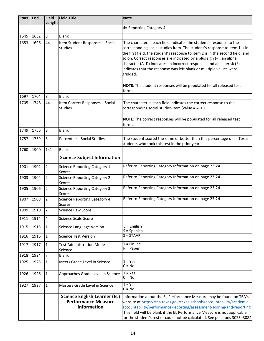| Start End    |              | <b>Field</b><br><b>Length</b> | <b>Field Title</b>                                                                      | <b>Note</b>                                                                                                                                                                                                                                                                                                                                                                                                                                                                                                                               |
|--------------|--------------|-------------------------------|-----------------------------------------------------------------------------------------|-------------------------------------------------------------------------------------------------------------------------------------------------------------------------------------------------------------------------------------------------------------------------------------------------------------------------------------------------------------------------------------------------------------------------------------------------------------------------------------------------------------------------------------------|
|              |              |                               |                                                                                         | 4= Reporting Category 4                                                                                                                                                                                                                                                                                                                                                                                                                                                                                                                   |
| 1645         | 1652         | 8                             | Blank                                                                                   |                                                                                                                                                                                                                                                                                                                                                                                                                                                                                                                                           |
| 1653         | 1696         | 44                            | Item Student Responses - Social<br><b>Studies</b>                                       | The character in each field indicates the student's response to the<br>corresponding social studies item. The student's response to item 1 is in<br>the first field, the student's response to item 2 is in the second field, and<br>so on. Correct responses are indicated by a plus sign (+); an alpha<br>character (A-D) indicates an incorrect response; and an asterisk (*)<br>indicates that the response was left blank or multiple values were<br>gridded.<br>NOTE: The student responses will be populated for all released test |
|              |              |                               |                                                                                         | forms.                                                                                                                                                                                                                                                                                                                                                                                                                                                                                                                                    |
| 1697<br>1705 | 1704<br>1748 | 8<br>44                       | <b>Blank</b><br>Item Correct Responses - Social                                         | The character in each field indicates the correct response to the                                                                                                                                                                                                                                                                                                                                                                                                                                                                         |
|              |              |                               | <b>Studies</b>                                                                          | corresponding social studies item (value = A-D).                                                                                                                                                                                                                                                                                                                                                                                                                                                                                          |
|              |              |                               |                                                                                         | NOTE: The correct responses will be populated for all released test<br>forms.                                                                                                                                                                                                                                                                                                                                                                                                                                                             |
| 1749         | 1756         | 8                             | Blank                                                                                   |                                                                                                                                                                                                                                                                                                                                                                                                                                                                                                                                           |
| 1757         | 1759         | 3                             | Percentile - Social Studies                                                             | The student scored the same or better than this percentage of all Texas<br>students who took this test in the prior year.                                                                                                                                                                                                                                                                                                                                                                                                                 |
| 1760         | 1900         | 141                           | <b>Blank</b>                                                                            |                                                                                                                                                                                                                                                                                                                                                                                                                                                                                                                                           |
|              |              |                               | <b>Science Subject Information</b>                                                      |                                                                                                                                                                                                                                                                                                                                                                                                                                                                                                                                           |
| 1901         | 1902         | $\overline{2}$                | <b>Science Reporting Category 1</b><br>Scores                                           | Refer to Reporting Category Information on page 23-24.                                                                                                                                                                                                                                                                                                                                                                                                                                                                                    |
| 1903         | 1904         | $\overline{2}$                | <b>Science Reporting Category 2</b><br>Scores                                           | Refer to Reporting Category Information on page 23-24.                                                                                                                                                                                                                                                                                                                                                                                                                                                                                    |
| 1905         | 1906         | $\overline{2}$                | <b>Science Reporting Category 3</b><br>Scores                                           | Refer to Reporting Category Information on page 23-24.                                                                                                                                                                                                                                                                                                                                                                                                                                                                                    |
| 1907         | 1908         | $\overline{2}$                | <b>Science Reporting Category 4</b><br>Scores                                           | Refer to Reporting Category Information on page 23-24.                                                                                                                                                                                                                                                                                                                                                                                                                                                                                    |
| 1909         | 1910         | 2                             | <b>Science Raw Score</b>                                                                |                                                                                                                                                                                                                                                                                                                                                                                                                                                                                                                                           |
| 1911         | 1914         | $\overline{4}$                | Science Scale Score                                                                     |                                                                                                                                                                                                                                                                                                                                                                                                                                                                                                                                           |
| 1915         | 1915         | $\mathbf{1}$                  | <b>Science Language Version</b>                                                         | $E =$ English<br>$S =$ Spanish                                                                                                                                                                                                                                                                                                                                                                                                                                                                                                            |
| 1916         | 1916         | $\mathbf{1}$                  | <b>Science Test Version</b>                                                             | $S = STAAR$                                                                                                                                                                                                                                                                                                                                                                                                                                                                                                                               |
| 1917         | 1917         | $\mathbf{1}$                  | Test Administration Mode -<br>Science                                                   | $O = Online$<br>$P = Paper$                                                                                                                                                                                                                                                                                                                                                                                                                                                                                                               |
| 1918         | 1924         | $\overline{7}$                | Blank                                                                                   |                                                                                                                                                                                                                                                                                                                                                                                                                                                                                                                                           |
| 1925         | 1925         | $\mathbf{1}$                  | Meets Grade Level in Science                                                            | $1 = Yes$<br>$0 = No$                                                                                                                                                                                                                                                                                                                                                                                                                                                                                                                     |
| 1926         | 1926         | $\mathbf{1}$                  | Approaches Grade Level in Science                                                       | $1 = Yes$<br>$0 = No$                                                                                                                                                                                                                                                                                                                                                                                                                                                                                                                     |
| 1927         | 1927         | $\mathbf{1}$                  | Masters Grade Level in Science                                                          | $1 = Yes$<br>$0 = No$                                                                                                                                                                                                                                                                                                                                                                                                                                                                                                                     |
|              |              |                               | <b>Science English Learner (EL)</b><br><b>Performance Measure</b><br><b>Information</b> | Information about the EL Performance Measure may be found on TEA's<br>website at https://tea.texas.gov/texas-schools/accountability/academic-<br>accountability/performance-reporting/assessment-scoring-and-reporting<br>This field will be blank if the EL Performance Measure is not applicable<br>for the student's test or could not be calculated. See positions 3075-3084                                                                                                                                                          |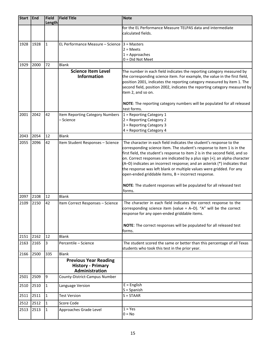| <b>Start</b> | End  | Field<br>Length | <b>Field Title</b>                                                         | <b>Note</b>                                                                                                                                                                                                                                                                                                                                                                                                                                                                                                                                                                                              |  |  |  |  |  |
|--------------|------|-----------------|----------------------------------------------------------------------------|----------------------------------------------------------------------------------------------------------------------------------------------------------------------------------------------------------------------------------------------------------------------------------------------------------------------------------------------------------------------------------------------------------------------------------------------------------------------------------------------------------------------------------------------------------------------------------------------------------|--|--|--|--|--|
|              |      |                 |                                                                            | for the EL Performance Measure TELPAS data and intermediate                                                                                                                                                                                                                                                                                                                                                                                                                                                                                                                                              |  |  |  |  |  |
|              |      |                 |                                                                            | calculated fields.                                                                                                                                                                                                                                                                                                                                                                                                                                                                                                                                                                                       |  |  |  |  |  |
| 1928         | 1928 | 1               | EL Performance Measure – Science $ 3$ = Masters                            | $2 = Meets$<br>$1 =$ Approaches<br>0 = Did Not Meet                                                                                                                                                                                                                                                                                                                                                                                                                                                                                                                                                      |  |  |  |  |  |
| 1929         | 2000 | 72              | <b>Blank</b>                                                               |                                                                                                                                                                                                                                                                                                                                                                                                                                                                                                                                                                                                          |  |  |  |  |  |
|              |      |                 | <b>Science Item Level</b><br><b>Information</b>                            | The number in each field indicates the reporting category measured by<br>the corresponding science item. For example, the value in the first field,<br>position 2001, indicates the reporting category measured by item 1. The<br>second field, position 2002, indicates the reporting category measured by<br>item 2, and so on.<br>NOTE: The reporting category numbers will be populated for all released                                                                                                                                                                                             |  |  |  |  |  |
| 2001         | 2042 | 42              | Item Reporting Category Numbers<br>- Science                               | test forms.<br>1 = Reporting Category 1<br>2 = Reporting Category 2<br>3 = Reporting Category 3<br>4 = Reporting Category 4                                                                                                                                                                                                                                                                                                                                                                                                                                                                              |  |  |  |  |  |
| 2043         | 2054 | 12              | <b>Blank</b>                                                               |                                                                                                                                                                                                                                                                                                                                                                                                                                                                                                                                                                                                          |  |  |  |  |  |
| 2055         | 2096 | 42              | Item Student Responses - Science                                           | The character in each field indicates the student's response to the<br>corresponding science item. The student's response to item 1 is in the<br>first field, the student's response to item 2 is in the second field, and so<br>on. Correct responses are indicated by a plus sign (+); an alpha character<br>(A-D) indicates an incorrect response; and an asterisk (*) indicates that<br>the response was left blank or multiple values were gridded. For any<br>open-ended griddable items, B = incorrect response.<br>NOTE: The student responses will be populated for all released test<br>forms. |  |  |  |  |  |
| 2097         | 2108 | 12              | <b>Blank</b>                                                               |                                                                                                                                                                                                                                                                                                                                                                                                                                                                                                                                                                                                          |  |  |  |  |  |
| 2109         | 2150 | 42              | Item Correct Responses - Science                                           | The character in each field indicates the correct response to the<br>corresponding science item (value = A-D). "A" will be the correct<br>response for any open-ended griddable items.<br>NOTE: The correct responses will be populated for all released test<br>forms.                                                                                                                                                                                                                                                                                                                                  |  |  |  |  |  |
| 2151         | 2162 | 12              | <b>Blank</b>                                                               |                                                                                                                                                                                                                                                                                                                                                                                                                                                                                                                                                                                                          |  |  |  |  |  |
| 2163         | 2165 | 3               | Percentile - Science                                                       | The student scored the same or better than this percentage of all Texas<br>students who took this test in the prior year.                                                                                                                                                                                                                                                                                                                                                                                                                                                                                |  |  |  |  |  |
| 2166         | 2500 | 335             | <b>Blank</b>                                                               |                                                                                                                                                                                                                                                                                                                                                                                                                                                                                                                                                                                                          |  |  |  |  |  |
|              |      |                 | <b>Previous Year Reading</b><br><b>History - Primary</b><br>Administration |                                                                                                                                                                                                                                                                                                                                                                                                                                                                                                                                                                                                          |  |  |  |  |  |
| 2501         | 2509 | 9               | County-District-Campus Number                                              |                                                                                                                                                                                                                                                                                                                                                                                                                                                                                                                                                                                                          |  |  |  |  |  |
| 2510         | 2510 | 1               | Language Version                                                           | $E =$ English<br>$S =$ Spanish                                                                                                                                                                                                                                                                                                                                                                                                                                                                                                                                                                           |  |  |  |  |  |
| 2511         | 2511 | I1              | <b>Test Version</b>                                                        | $S = STAAR$                                                                                                                                                                                                                                                                                                                                                                                                                                                                                                                                                                                              |  |  |  |  |  |
| 2512         | 2512 | I1              | Score Code                                                                 |                                                                                                                                                                                                                                                                                                                                                                                                                                                                                                                                                                                                          |  |  |  |  |  |
| 2513         | 2513 | 1               | Approaches Grade Level                                                     | $1 = Yes$<br>$0 = No$                                                                                                                                                                                                                                                                                                                                                                                                                                                                                                                                                                                    |  |  |  |  |  |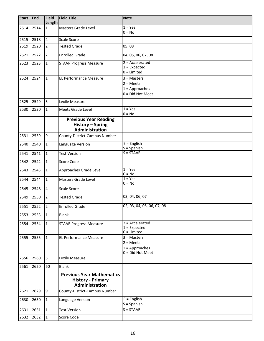| <b>Start</b> | End  | <b>Field</b><br>Length | <b>Field Title</b>                                                             | <b>Note</b>                          |
|--------------|------|------------------------|--------------------------------------------------------------------------------|--------------------------------------|
| 2514         | 2514 | $\overline{1}$         | Masters Grade Level                                                            | $1 = Yes$                            |
|              |      |                        |                                                                                | $0 = No$                             |
| 2515         | 2518 | $\overline{4}$         | Scale Score                                                                    |                                      |
| 2519         | 2520 | 2                      | <b>Tested Grade</b>                                                            | 05,08                                |
| 2521         | 2522 | $\overline{2}$         | <b>Enrolled Grade</b>                                                          | 04, 05, 06, 07, 08                   |
| 2523         | 2523 | $\mathbf{1}$           | <b>STAAR Progress Measure</b>                                                  | $2 = Accelerated$                    |
|              |      |                        |                                                                                | $1 =$ Expected<br>$0 =$ Limited      |
| 2524         | 2524 | 1                      | <b>EL Performance Measure</b>                                                  | $3 = Masters$                        |
|              |      |                        |                                                                                | $2 = Meets$                          |
|              |      |                        |                                                                                | $1 =$ Approaches                     |
|              |      |                        |                                                                                | $0 = Did Not Meet$                   |
| 2525         | 2529 | 5                      | Lexile Measure                                                                 |                                      |
| 2530         | 2530 | 1                      | Meets Grade Level                                                              | $1 = Yes$<br>$0 = No$                |
|              |      |                        | <b>Previous Year Reading</b><br>History - Spring                               |                                      |
|              |      |                        | Administration                                                                 |                                      |
| 2531         | 2539 | 9                      | County-District-Campus Number                                                  |                                      |
| 2540         | 2540 | $\overline{1}$         | Language Version                                                               | $E =$ English<br>$S =$ Spanish       |
| 2541         | 2541 | 1                      | <b>Test Version</b>                                                            | $S = STAAR$                          |
| 2542         | 2542 | 1                      | Score Code                                                                     |                                      |
| 2543         | 2543 | $\vert$ 1              | Approaches Grade Level                                                         | $1 = Yes$<br>$0 = No$                |
| 2544         | 2544 | $\mathbf{1}$           | <b>Masters Grade Level</b>                                                     | $1 = Yes$<br>$0 = No$                |
| 2545         | 2548 | 4                      | Scale Score                                                                    |                                      |
| 2549         | 2550 | $\overline{2}$         | <b>Tested Grade</b>                                                            | 03, 04, 06, 07                       |
| 2551         | 2552 | $\vert$ 2              | <b>Enrolled Grade</b>                                                          | 02, 03, 04, 05, 06, 07, 08           |
| 2553         | 2553 | 11                     | <b>Blank</b>                                                                   |                                      |
| 2554         | 2554 | 1                      | <b>STAAR Progress Measure</b>                                                  | $2 = Accelerated$                    |
|              |      |                        |                                                                                | $1 =$ Expected<br>$0 =$ Limited      |
| 2555         | 2555 | 1                      | <b>EL Performance Measure</b>                                                  | $3 = Masters$                        |
|              |      |                        |                                                                                | $2 = Meets$                          |
|              |      |                        |                                                                                | $1 =$ Approaches<br>0 = Did Not Meet |
| 2556         | 2560 | 5                      | Lexile Measure                                                                 |                                      |
| 2561         | 2620 | 60                     | <b>Blank</b>                                                                   |                                      |
|              |      |                        | <b>Previous Year Mathematics</b><br><b>History - Primary</b><br>Administration |                                      |
| 2621         | 2629 | 9                      | County-District-Campus Number                                                  |                                      |
| 2630         | 2630 | $\vert$ 1              | Language Version                                                               | $E =$ English<br>$S =$ Spanish       |
| 2631         | 2631 | 1                      | <b>Test Version</b>                                                            | $S = STAAR$                          |
| 2632         | 2632 | 1                      | Score Code                                                                     |                                      |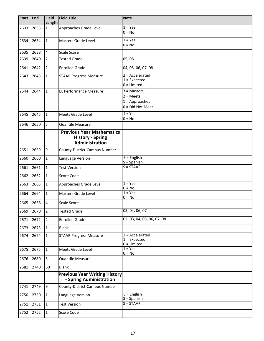| <b>Start</b> | End  | <b>Field</b><br>Length | <b>Field Title</b>                                              | <b>Note</b>                                          |  |  |
|--------------|------|------------------------|-----------------------------------------------------------------|------------------------------------------------------|--|--|
| 2633         | 2633 | $\mathbf{1}$           | Approaches Grade Level                                          | $1 = Yes$                                            |  |  |
|              |      |                        |                                                                 | $0 = No$                                             |  |  |
| 2634         | 2634 | $\mathbf{1}$           | Masters Grade Level                                             | $1 = Yes$                                            |  |  |
|              |      |                        |                                                                 | $0 = No$                                             |  |  |
| 2635         | 2638 | $\overline{4}$         | Scale Score                                                     |                                                      |  |  |
| 2639         | 2640 | $\overline{2}$         | <b>Tested Grade</b>                                             | 05,08                                                |  |  |
| 2641         | 2642 | $\overline{2}$         | <b>Enrolled Grade</b>                                           | 04, 05, 06, 07, 08                                   |  |  |
| 2643         | 2643 | $\mathbf{1}$           | <b>STAAR Progress Measure</b>                                   | $2 = Accelerated$                                    |  |  |
|              |      |                        |                                                                 | $1 =$ Expected<br>$0 =$ Limited                      |  |  |
| 2644         | 2644 | $\mathbf{1}$           | <b>EL Performance Measure</b>                                   | $3 =$ Masters                                        |  |  |
|              |      |                        |                                                                 | $2 = Meets$                                          |  |  |
|              |      |                        |                                                                 | $1 =$ Approaches                                     |  |  |
|              |      |                        |                                                                 | $0 = Did Not Meet$                                   |  |  |
| 2645         | 2645 | $\mathbf{1}$           | Meets Grade Level                                               | $1 = Yes$                                            |  |  |
|              |      |                        |                                                                 | $0 = No$                                             |  |  |
| 2646         | 2650 | 5                      | Quantile Measure                                                |                                                      |  |  |
|              |      |                        | <b>Previous Year Mathematics</b><br><b>History - Spring</b>     |                                                      |  |  |
|              |      |                        | Administration                                                  |                                                      |  |  |
| 2651         | 2659 | 9                      | County-District-Campus Number                                   |                                                      |  |  |
| 2660         | 2660 | $\mathbf{1}$           | Language Version                                                | $E =$ English<br>$S =$ Spanish                       |  |  |
| 2661         | 2661 | $\mathbf{1}$           | <b>Test Version</b>                                             | $S = STAAR$                                          |  |  |
| 2662         | 2662 | $\mathbf{1}$           | Score Code                                                      |                                                      |  |  |
| 2663         | 2663 | $\mathbf{1}$           | Approaches Grade Level                                          | $1 = Yes$<br>$0 = No$                                |  |  |
| 2664         | 2664 | $\mathbf{1}$           | Masters Grade Level                                             | $1 = Yes$<br>$0 = No$                                |  |  |
| 2665         | 2668 | $\overline{4}$         | <b>Scale Score</b>                                              |                                                      |  |  |
| 2669         | 2670 | $\vert$ 2              | <b>Tested Grade</b>                                             | 03, 04, 06, 07                                       |  |  |
| 2671         | 2672 | $\overline{2}$         | <b>Enrolled Grade</b>                                           | 02, 03, 04, 05, 06, 07, 08                           |  |  |
| 2673         | 2673 | $\mathbf{1}$           | <b>Blank</b>                                                    |                                                      |  |  |
| 2674         | 2674 | $\mathbf{1}$           | <b>STAAR Progress Measure</b>                                   | $2 = Accelerated$<br>$1 =$ Expected<br>$0 =$ Limited |  |  |
| 2675         | 2675 | $\mathbf{1}$           | Meets Grade Level                                               | $1 = Yes$<br>$0 = No$                                |  |  |
| 2676         | 2680 | 5                      | Quantile Measure                                                |                                                      |  |  |
| 2681         | 2740 | 60                     | <b>Blank</b>                                                    |                                                      |  |  |
|              |      |                        | <b>Previous Year Writing History</b><br>- Spring Administration |                                                      |  |  |
| 2741         | 2749 | 9                      | County-District-Campus Number                                   |                                                      |  |  |
| 2750         | 2750 | $\vert$ 1              | Language Version                                                | $E =$ English<br>$S =$ Spanish                       |  |  |
| 2751         | 2751 | $\overline{1}$         | <b>Test Version</b>                                             | $S = STAAR$                                          |  |  |
| 2752         | 2752 | $\vert$ 1              | Score Code                                                      |                                                      |  |  |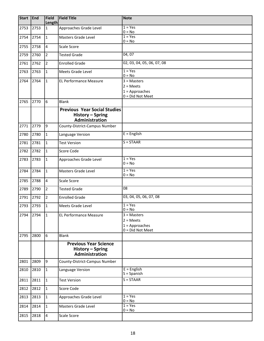| <b>Start</b> | <b>End</b> | <b>Field</b><br>Length | <b>Field Title</b>                                                        | <b>Note</b>                                                          |  |  |
|--------------|------------|------------------------|---------------------------------------------------------------------------|----------------------------------------------------------------------|--|--|
| 2753         | 2753       | $\mathbf{1}$           | Approaches Grade Level                                                    | $1 = Yes$<br>$0 = No$                                                |  |  |
| 2754         | 2754       | $\overline{1}$         | Masters Grade Level                                                       | $1 = Yes$<br>$0 = No$                                                |  |  |
| 2755         | 2758       | $\overline{4}$         | Scale Score                                                               |                                                                      |  |  |
| 2759         | 2760       | $\overline{2}$         | <b>Tested Grade</b>                                                       | 04,07                                                                |  |  |
| 2761         | 2762       | $\overline{2}$         | <b>Enrolled Grade</b>                                                     | 02, 03, 04, 05, 06, 07, 08                                           |  |  |
| 2763         | 2763       | $\mathbf{1}$           | Meets Grade Level                                                         | $1 = Yes$<br>$0 = No$                                                |  |  |
| 2764         | 2764       | $\mathbf{1}$           | <b>EL Performance Measure</b>                                             | $3 = Masters$<br>$2 = Meets$<br>$1 =$ Approaches<br>0 = Did Not Meet |  |  |
| 2765         | 2770       | 6                      | Blank                                                                     |                                                                      |  |  |
|              |            |                        | <b>Previous Year Social Studies</b><br>History - Spring<br>Administration |                                                                      |  |  |
| 2771         | 2779       | 9                      | County-District-Campus Number                                             |                                                                      |  |  |
| 2780         | 2780       | $\mathbf{1}$           | Language Version                                                          | $E =$ English                                                        |  |  |
| 2781         | 2781       | $\mathbf{1}$           | <b>Test Version</b>                                                       | $S = STAAR$                                                          |  |  |
| 2782         | 2782       | $\vert$ 1              | Score Code                                                                |                                                                      |  |  |
| 2783         | 2783       | $\mathbf 1$            | Approaches Grade Level                                                    | $1 = Yes$<br>$0 = No$                                                |  |  |
| 2784         | 2784       | $\overline{1}$         | Masters Grade Level                                                       | $1 = Yes$<br>$0 = No$                                                |  |  |
| 2785         | 2788       | $\overline{4}$         | <b>Scale Score</b>                                                        |                                                                      |  |  |
| 2789         | 2790       | $\overline{2}$         | <b>Tested Grade</b>                                                       | 08                                                                   |  |  |
| 2791         | 2792       | $\overline{2}$         | <b>Enrolled Grade</b>                                                     | 03, 04, 05, 06, 07, 08                                               |  |  |
|              | 2793 2793  | 1                      | Meets Grade Level                                                         | $1 = Yes$<br>$0 = No$                                                |  |  |
| 2794         | 2794       | 1                      | <b>EL Performance Measure</b>                                             | $3 =$ Masters<br>$2 = Meets$<br>$1 =$ Approaches<br>0 = Did Not Meet |  |  |
| 2795         | 2800       | 6                      | <b>Blank</b>                                                              |                                                                      |  |  |
|              |            |                        | <b>Previous Year Science</b><br>History - Spring<br>Administration        |                                                                      |  |  |
| 2801         | 2809       | 9                      | County-District-Campus Number                                             |                                                                      |  |  |
| 2810         | 2810       | $\mathbf{1}$           | Language Version                                                          | $E =$ English<br>$S =$ Spanish                                       |  |  |
| 2811         | 2811       | $\vert$ 1              | <b>Test Version</b>                                                       | $S = STAAR$                                                          |  |  |
| 2812         | 2812       | $\overline{1}$         | Score Code                                                                |                                                                      |  |  |
| 2813         | 2813       | $\mathbf{1}$           | Approaches Grade Level                                                    | $1 = Yes$<br>$0 = No$                                                |  |  |
| 2814         | 2814       | $\mathbf{1}$           | Masters Grade Level                                                       | $1 = Yes$<br>$0 = No$                                                |  |  |
| 2815         | 2818       | $\overline{4}$         | <b>Scale Score</b>                                                        |                                                                      |  |  |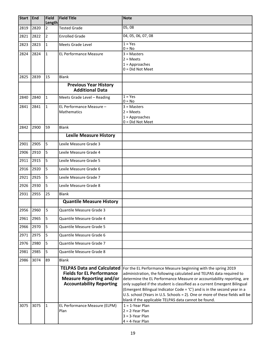| <b>Start</b> | <b>End</b> | <b>Field</b><br>Length | <b>Field Title</b>                                                                                                                                                           | <b>Note</b>                                                                                                                                                                                                                                                                                                                                                                                                                                                                                                                            |
|--------------|------------|------------------------|------------------------------------------------------------------------------------------------------------------------------------------------------------------------------|----------------------------------------------------------------------------------------------------------------------------------------------------------------------------------------------------------------------------------------------------------------------------------------------------------------------------------------------------------------------------------------------------------------------------------------------------------------------------------------------------------------------------------------|
| 2819         | 2820       | $\overline{2}$         | <b>Tested Grade</b>                                                                                                                                                          | 05,08                                                                                                                                                                                                                                                                                                                                                                                                                                                                                                                                  |
| 2821         | 2822       | $\overline{2}$         | <b>Enrolled Grade</b>                                                                                                                                                        | 04, 05, 06, 07, 08                                                                                                                                                                                                                                                                                                                                                                                                                                                                                                                     |
| 2823         | 2823       | $\mathbf{1}$           | Meets Grade Level                                                                                                                                                            | $1 = Yes$<br>$0 = No$                                                                                                                                                                                                                                                                                                                                                                                                                                                                                                                  |
| 2824         | 2824       | $\mathbf{1}$           | <b>EL Performance Measure</b>                                                                                                                                                | $3 =$ Masters                                                                                                                                                                                                                                                                                                                                                                                                                                                                                                                          |
|              |            |                        |                                                                                                                                                                              | $2 = Meets$                                                                                                                                                                                                                                                                                                                                                                                                                                                                                                                            |
|              |            |                        |                                                                                                                                                                              | $1 =$ Approaches<br>$0 = Did Not Meet$                                                                                                                                                                                                                                                                                                                                                                                                                                                                                                 |
| 2825         | 2839       | 15                     | <b>Blank</b>                                                                                                                                                                 |                                                                                                                                                                                                                                                                                                                                                                                                                                                                                                                                        |
|              |            |                        | <b>Previous Year History</b><br><b>Additional Data</b>                                                                                                                       |                                                                                                                                                                                                                                                                                                                                                                                                                                                                                                                                        |
| 2840         | 2840       | 11                     | Meets Grade Level - Reading                                                                                                                                                  | $1 = Yes$<br>$0 = No$                                                                                                                                                                                                                                                                                                                                                                                                                                                                                                                  |
| 2841         | 2841       | 11                     | EL Performance Measure -                                                                                                                                                     | $3 =$ Masters                                                                                                                                                                                                                                                                                                                                                                                                                                                                                                                          |
|              |            |                        | Mathematics                                                                                                                                                                  | $2 = Meets$                                                                                                                                                                                                                                                                                                                                                                                                                                                                                                                            |
|              |            |                        |                                                                                                                                                                              | $1 =$ Approaches<br>$0 = Did Not Meet$                                                                                                                                                                                                                                                                                                                                                                                                                                                                                                 |
| 2842         | 2900       | 59                     | <b>Blank</b>                                                                                                                                                                 |                                                                                                                                                                                                                                                                                                                                                                                                                                                                                                                                        |
|              |            |                        | <b>Lexile Measure History</b>                                                                                                                                                |                                                                                                                                                                                                                                                                                                                                                                                                                                                                                                                                        |
| 2901         | 2905       | 5                      | Lexile Measure Grade 3                                                                                                                                                       |                                                                                                                                                                                                                                                                                                                                                                                                                                                                                                                                        |
| 2906         | 2910       | 5                      | Lexile Measure Grade 4                                                                                                                                                       |                                                                                                                                                                                                                                                                                                                                                                                                                                                                                                                                        |
| 2911         | 2915       | I5                     | Lexile Measure Grade 5                                                                                                                                                       |                                                                                                                                                                                                                                                                                                                                                                                                                                                                                                                                        |
| 2916         | 2920       | 5                      | Lexile Measure Grade 6                                                                                                                                                       |                                                                                                                                                                                                                                                                                                                                                                                                                                                                                                                                        |
| 2921         | 2925       | l5                     | Lexile Measure Grade 7                                                                                                                                                       |                                                                                                                                                                                                                                                                                                                                                                                                                                                                                                                                        |
| 2926         | 2930       | 5                      | Lexile Measure Grade 8                                                                                                                                                       |                                                                                                                                                                                                                                                                                                                                                                                                                                                                                                                                        |
| 2931         | 2955       | 25                     | <b>Blank</b>                                                                                                                                                                 |                                                                                                                                                                                                                                                                                                                                                                                                                                                                                                                                        |
|              |            |                        | <b>Quantile Measure History</b>                                                                                                                                              |                                                                                                                                                                                                                                                                                                                                                                                                                                                                                                                                        |
| 2956         | 2960       | 5                      | Quantile Measure Grade 3                                                                                                                                                     |                                                                                                                                                                                                                                                                                                                                                                                                                                                                                                                                        |
| 2961         | 2965       | 5                      | Quantile Measure Grade 4                                                                                                                                                     |                                                                                                                                                                                                                                                                                                                                                                                                                                                                                                                                        |
| 2966         | 2970       | 5                      | Quantile Measure Grade 5                                                                                                                                                     |                                                                                                                                                                                                                                                                                                                                                                                                                                                                                                                                        |
| 2971         | 2975       | l5                     | Quantile Measure Grade 6                                                                                                                                                     |                                                                                                                                                                                                                                                                                                                                                                                                                                                                                                                                        |
| 2976         | 2980       | 5                      | Quantile Measure Grade 7                                                                                                                                                     |                                                                                                                                                                                                                                                                                                                                                                                                                                                                                                                                        |
| 2981         | 2985       | 5                      | Quantile Measure Grade 8                                                                                                                                                     |                                                                                                                                                                                                                                                                                                                                                                                                                                                                                                                                        |
| 2986         | 3074       | 89                     | <b>Blank</b>                                                                                                                                                                 |                                                                                                                                                                                                                                                                                                                                                                                                                                                                                                                                        |
| 3075         | 3075       | 11                     | <b>TELPAS Data and Calculated</b><br><b>Fields for EL Performance</b><br><b>Measure Reporting and/or</b><br><b>Accountability Reporting</b><br>EL Performance Measure (ELPM) | For the EL Performance Measure beginning with the spring 2019<br>administration, the following calculated and TELPAS data required to<br>determine the EL Performance Measure or accountability reporting, are<br>only supplied if the student is classified as a current Emergent Bilingual<br>(Emergent Bilingual Indicator Code = 'C') and is in the second year in a<br>U.S. school (Years in U.S. Schools = 2). One or more of these fields will be<br>blank if the applicable TELPAS data cannot be found.<br>$1 = 1$ -Year Plan |
|              |            |                        | Plan                                                                                                                                                                         | $2 = 2$ -Year Plan<br>$3 = 3$ -Year Plan<br>$4 = 4$ -Year Plan                                                                                                                                                                                                                                                                                                                                                                                                                                                                         |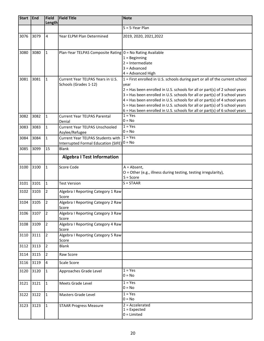| <b>Start</b> | End  | <b>Field</b><br><b>Length</b> | <b>Field Title</b>                                          | <b>Note</b>                                                                                                                                                  |  |  |  |  |
|--------------|------|-------------------------------|-------------------------------------------------------------|--------------------------------------------------------------------------------------------------------------------------------------------------------------|--|--|--|--|
|              |      |                               |                                                             | $5 = 5$ -Year Plan                                                                                                                                           |  |  |  |  |
| 3076         | 3079 | 4                             | Year ELPM Plan Determined                                   | 2019, 2020, 2021, 2022                                                                                                                                       |  |  |  |  |
|              |      |                               |                                                             |                                                                                                                                                              |  |  |  |  |
| 3080         | 3080 | $\mathbf{1}$                  | Plan-Year TELPAS Composite Rating $0 = No$ Rating Available |                                                                                                                                                              |  |  |  |  |
|              |      |                               |                                                             | $1 =$ Beginning                                                                                                                                              |  |  |  |  |
|              |      |                               |                                                             | $2 = Internet$                                                                                                                                               |  |  |  |  |
|              |      |                               |                                                             | $3 =$ Advanced                                                                                                                                               |  |  |  |  |
|              |      |                               |                                                             | $4 =$ Advanced High                                                                                                                                          |  |  |  |  |
| 3081         | 3081 | $\mathbf{1}$                  | Current Year TELPAS Years in U.S.                           | $1 =$ First enrolled in U.S. schools during part or all of the current school                                                                                |  |  |  |  |
|              |      |                               | Schools (Grades 1-12)                                       | year                                                                                                                                                         |  |  |  |  |
|              |      |                               |                                                             | $2$ = Has been enrolled in U.S. schools for all or part(s) of 2 school years                                                                                 |  |  |  |  |
|              |      |                               |                                                             | $3$ = Has been enrolled in U.S. schools for all or part(s) of 3 school years                                                                                 |  |  |  |  |
|              |      |                               |                                                             | $4$ = Has been enrolled in U.S. schools for all or part(s) of 4 school years                                                                                 |  |  |  |  |
|              |      |                               |                                                             | $5$ = Has been enrolled in U.S. schools for all or part(s) of 5 school years<br>$6$ = Has been enrolled in U.S. schools for all or part(s) of 6 school years |  |  |  |  |
| 3082         | 3082 | $\mathbf{1}$                  | <b>Current Year TELPAS Parental</b>                         | $1 = Yes$                                                                                                                                                    |  |  |  |  |
|              |      |                               | Denial                                                      | $0 = No$                                                                                                                                                     |  |  |  |  |
| 3083         | 3083 | $\mathbf{1}$                  | <b>Current Year TELPAS Unschooled</b>                       | $1 = Yes$                                                                                                                                                    |  |  |  |  |
|              |      |                               | Asylee/Refugee                                              | $0 = No$                                                                                                                                                     |  |  |  |  |
| 3084         | 3084 | $\mathbf{1}$                  | <b>Current Year TELPAS Students with</b>                    | $1 = Yes$                                                                                                                                                    |  |  |  |  |
|              |      |                               | Interrupted Formal Education (SIFE) $0 = No$                |                                                                                                                                                              |  |  |  |  |
| 3085         | 3099 | 15                            | <b>Blank</b>                                                |                                                                                                                                                              |  |  |  |  |
|              |      |                               | <b>Algebra I Test Information</b>                           |                                                                                                                                                              |  |  |  |  |
| 3100         | 3100 | $\mathbf 1$                   | Score Code                                                  | $A = Absent,$                                                                                                                                                |  |  |  |  |
|              |      |                               |                                                             | O = Other (e.g., illness during testing, testing irregularity),                                                                                              |  |  |  |  |
|              |      |                               |                                                             | $S = Score$                                                                                                                                                  |  |  |  |  |
| 3101         | 3101 | $\mathbf{1}$                  | <b>Test Version</b>                                         | $S = STAAR$                                                                                                                                                  |  |  |  |  |
| 3102         | 3103 | $\overline{2}$                | Algebra I Reporting Category 1 Raw                          |                                                                                                                                                              |  |  |  |  |
|              |      |                               | Score                                                       |                                                                                                                                                              |  |  |  |  |
| 3104         | 3105 | $\overline{2}$                | Algebra I Reporting Category 2 Raw                          |                                                                                                                                                              |  |  |  |  |
| 3106         | 3107 | $\overline{2}$                | Score<br>Algebra I Reporting Category 3 Raw                 |                                                                                                                                                              |  |  |  |  |
|              |      |                               | Score                                                       |                                                                                                                                                              |  |  |  |  |
| 3108         | 3109 | $\overline{2}$                | Algebra I Reporting Category 4 Raw                          |                                                                                                                                                              |  |  |  |  |
|              |      |                               | Score                                                       |                                                                                                                                                              |  |  |  |  |
| 3110         | 3111 | $\overline{2}$                | Algebra I Reporting Category 5 Raw<br>Score                 |                                                                                                                                                              |  |  |  |  |
| 3112         | 3113 | $\overline{2}$                | <b>Blank</b>                                                |                                                                                                                                                              |  |  |  |  |
| 3114         | 3115 | $\overline{2}$                | Raw Score                                                   |                                                                                                                                                              |  |  |  |  |
| 3116         | 3119 | $\overline{4}$                | Scale Score                                                 |                                                                                                                                                              |  |  |  |  |
| 3120         | 3120 | $\mathbf{1}$                  | Approaches Grade Level                                      | $1 = Yes$<br>$0 = No$                                                                                                                                        |  |  |  |  |
| 3121         | 3121 | $\overline{1}$                | Meets Grade Level                                           | $1 = Yes$                                                                                                                                                    |  |  |  |  |
|              |      |                               |                                                             | $0 = No$                                                                                                                                                     |  |  |  |  |
| 3122         | 3122 | $\overline{1}$                | Masters Grade Level                                         | $1 = Yes$                                                                                                                                                    |  |  |  |  |
|              |      |                               |                                                             | $0 = No$                                                                                                                                                     |  |  |  |  |
| 3123         | 3123 | $\overline{1}$                | <b>STAAR Progress Measure</b>                               | $2 = Accelerated$<br>$1 =$ Expected                                                                                                                          |  |  |  |  |
|              |      |                               |                                                             | $0 =$ Limited                                                                                                                                                |  |  |  |  |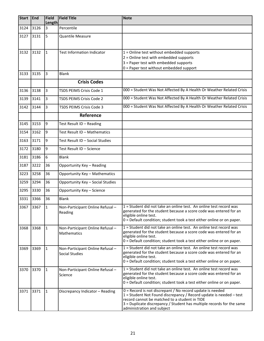| <b>Start</b> | End  | Field<br><b>Length</b> | <b>Field Title</b>                                | <b>Note</b>                                                                                                                                                                                                                                                                             |
|--------------|------|------------------------|---------------------------------------------------|-----------------------------------------------------------------------------------------------------------------------------------------------------------------------------------------------------------------------------------------------------------------------------------------|
| 3124         | 3126 | 3                      | Percentile                                        |                                                                                                                                                                                                                                                                                         |
| 3127         | 3131 | 5                      | <b>Quantile Measure</b>                           |                                                                                                                                                                                                                                                                                         |
| 3132         | 3132 | $\mathbf{1}$           | <b>Test Information Indicator</b>                 | $1 =$ Online test without embedded supports<br>2 = Online test with embedded supports<br>3 = Paper test with embedded supports<br>0 = Paper test without embedded support                                                                                                               |
| 3133         | 3135 | 3                      | <b>Blank</b>                                      |                                                                                                                                                                                                                                                                                         |
|              |      |                        | <b>Crisis Codes</b>                               |                                                                                                                                                                                                                                                                                         |
| 3136         | 3138 | $\overline{3}$         | TSDS PEIMS Crisis Code 1                          | 000 = Student Was Not Affected By A Health Or Weather Related Crisis                                                                                                                                                                                                                    |
| 3139         | 3141 | $\overline{3}$         | <b>TSDS PEIMS Crisis Code 2</b>                   | 000 = Student Was Not Affected By A Health Or Weather Related Crisis                                                                                                                                                                                                                    |
| 3142         | 3144 | $\overline{3}$         | TSDS PEIMS Crisis Code 3                          | 000 = Student Was Not Affected By A Health Or Weather Related Crisis                                                                                                                                                                                                                    |
|              |      |                        | Reference                                         |                                                                                                                                                                                                                                                                                         |
| 3145         | 3153 | 9                      | Test Result ID - Reading                          |                                                                                                                                                                                                                                                                                         |
| 3154         | 3162 | 9                      | Test Result ID - Mathematics                      |                                                                                                                                                                                                                                                                                         |
| 3163         | 3171 | 9                      | Test Result ID - Social Studies                   |                                                                                                                                                                                                                                                                                         |
| 3172         | 3180 | $\overline{9}$         | Test Result ID - Science                          |                                                                                                                                                                                                                                                                                         |
| 3181         | 3186 | $6\overline{6}$        | <b>Blank</b>                                      |                                                                                                                                                                                                                                                                                         |
| 3187         | 3222 | 36                     | Opportunity Key - Reading                         |                                                                                                                                                                                                                                                                                         |
| 3223         | 3258 | 36                     | <b>Opportunity Key - Mathematics</b>              |                                                                                                                                                                                                                                                                                         |
| 3259         | 3294 | 36                     | Opportunity Key - Social Studies                  |                                                                                                                                                                                                                                                                                         |
| 3295         | 3330 | 36                     | Opportunity Key - Science                         |                                                                                                                                                                                                                                                                                         |
| 3331         | 3366 | 36                     | <b>Blank</b>                                      |                                                                                                                                                                                                                                                                                         |
| 3367         | 3367 | $\mathbf{1}$           | Non-Participant Online Refusal-<br>Reading        | 1 = Student did not take an online test. An online test record was<br>generated for the student because a score code was entered for an<br>eligible online test.<br>0 = Default condition; student took a test either online or on paper.                                               |
| 3368         | 3368 | $\mathbf{1}$           | Non-Participant Online Refusal-<br>Mathematics    | 1 = Student did not take an online test. An online test record was<br>generated for the student because a score code was entered for an<br>eligible online test.<br>0 = Default condition; student took a test either online or on paper.                                               |
| 3369         | 3369 | $\mathbf{1}$           | Non-Participant Online Refusal-<br>Social Studies | 1 = Student did not take an online test. An online test record was<br>generated for the student because a score code was entered for an<br>eligible online test.<br>0 = Default condition; student took a test either online or on paper.                                               |
| 3370         | 3370 | $\mathbf{1}$           | Non-Participant Online Refusal-<br>Science        | 1 = Student did not take an online test. An online test record was<br>generated for the student because a score code was entered for an<br>eligible online test.<br>0 = Default condition; student took a test either online or on paper.                                               |
| 3371         | 3371 | $\mathbf{1}$           | Discrepancy Indicator - Reading                   | 0 = Record is not discrepant / No record update is needed<br>1 = Student Not Found discrepancy / Record update is needed - test<br>record cannot be matched to a student in TIDE<br>3 = Duplicate discrepancy / Student has multiple records for the same<br>administration and subject |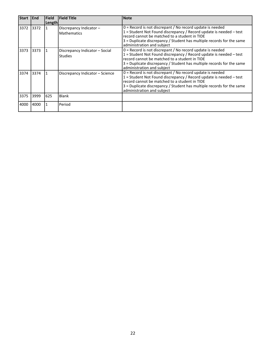| <b>Start</b> | <b>I</b> End | <b>Field</b><br>Length | <b>Field Title</b>                               | <b>Note</b>                                                                                                                                                                                                                                                                               |
|--------------|--------------|------------------------|--------------------------------------------------|-------------------------------------------------------------------------------------------------------------------------------------------------------------------------------------------------------------------------------------------------------------------------------------------|
| 3372         | 3372         |                        | Discrepancy Indicator-<br><b>Mathematics</b>     | $0$ = Record is not discrepant / No record update is needed<br>1 = Student Not Found discrepancy / Record update is needed - test<br>record cannot be matched to a student in TIDE<br>3 = Duplicate discrepancy / Student has multiple records for the same<br>administration and subject |
| 3373         | 3373         |                        | Discrepancy Indicator - Social<br><b>Studies</b> | $0$ = Record is not discrepant / No record update is needed<br>1 = Student Not Found discrepancy / Record update is needed - test<br>record cannot be matched to a student in TIDE<br>3 = Duplicate discrepancy / Student has multiple records for the same<br>administration and subject |
| 3374         | 3374         |                        | Discrepancy Indicator – Science                  | $0$ = Record is not discrepant / No record update is needed<br>1 = Student Not Found discrepancy / Record update is needed - test<br>record cannot be matched to a student in TIDE<br>3 = Duplicate discrepancy / Student has multiple records for the same<br>administration and subject |
| 3375         | 3999         | 625                    | Blank                                            |                                                                                                                                                                                                                                                                                           |
| 4000         | 4000         |                        | Period                                           |                                                                                                                                                                                                                                                                                           |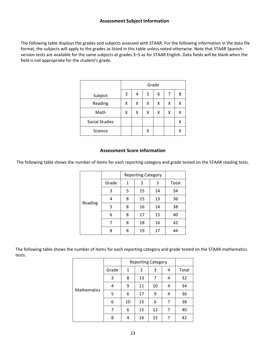#### **Assessment Subject Information**

The following table displays the grades and subjects assessed with STAAR. For the following information in the data file format, the subjects will apply to the grades as listed in this table unless noted otherwise. Note that STAAR Spanishversion tests are available for the same subjects at grades 3–5 as for STAAR English. Data fields will be blank when the field is not appropriate for the student's grade.

|                       | Grade |   |   |   |   |   |
|-----------------------|-------|---|---|---|---|---|
| Subject               | 3     | 4 | 5 | 6 | 7 | 8 |
| Reading               | X     | x | x | X | x | Χ |
| Math                  | x     | x | x | x | х | Χ |
| <b>Social Studies</b> |       |   |   |   |   | X |
| Science               |       |   | Χ |   |   | Χ |

#### **Assessment Score Information**

The following table shows the number of items for each reporting category and grade tested on the STAAR reading tests.

|         |       |   | <b>Reporting Category</b> |    |       |
|---------|-------|---|---------------------------|----|-------|
|         | Grade | 1 | 2                         | 3  | Total |
|         | 3     | 5 | 15                        | 14 | 34    |
| Reading | 4     | 8 | 15                        | 13 | 36    |
|         | 5     | 8 | 16                        | 14 | 38    |
|         | 6     | 8 | 17                        | 15 | 40    |
|         | 7     | 8 | 18                        | 16 | 42    |
|         | 8     | 8 | 19                        | 17 | 44    |

The following table shows the number of items for each reporting category and grade tested on the STAAR mathematics tests.

|                    |       |              | <b>Reporting Category</b> |    |   |       |
|--------------------|-------|--------------|---------------------------|----|---|-------|
|                    | Grade | $\mathbf{1}$ | 2                         | 3  | 4 | Total |
|                    | 3     | 8            | 13                        | 7  | 4 | 32    |
|                    | 4     | 9            | 11                        | 10 | 4 | 34    |
| <b>Mathematics</b> | 5     | 6            | 17                        | 9  | 4 | 36    |
|                    | 6     | 10           | 15                        | 6  | 7 | 38    |
|                    | 7     | 6            | 15                        | 12 | 7 | 40    |
|                    | 8     | 4            | 16                        | 15 |   | 42    |